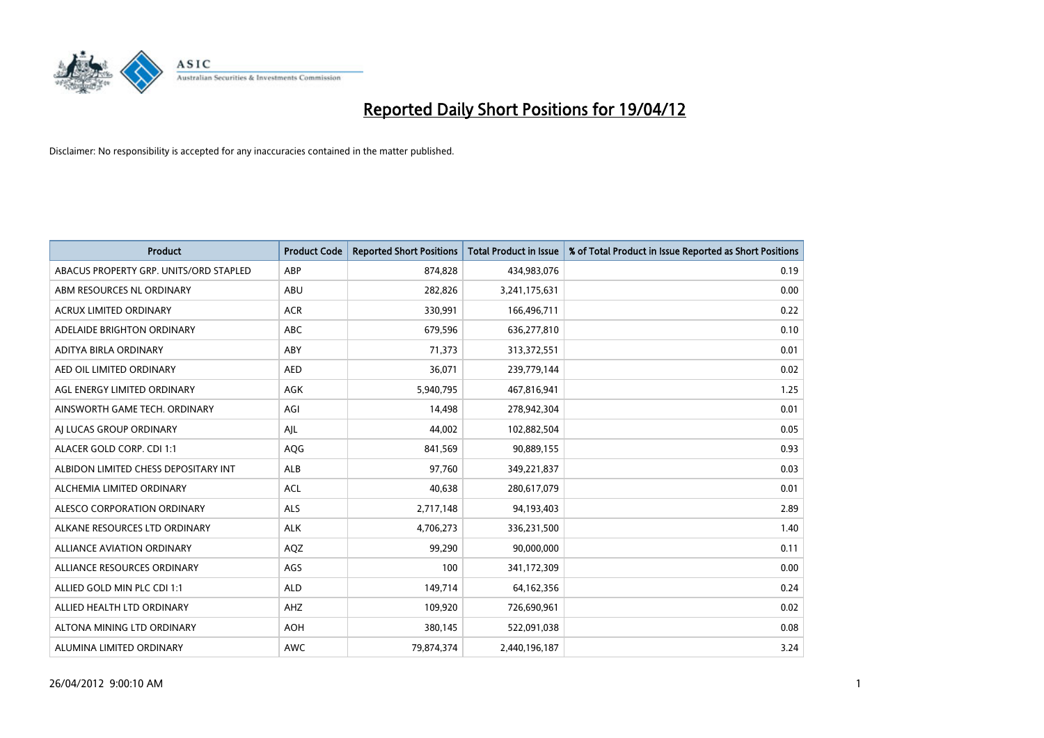

| <b>Product</b>                         | <b>Product Code</b> | <b>Reported Short Positions</b> | <b>Total Product in Issue</b> | % of Total Product in Issue Reported as Short Positions |
|----------------------------------------|---------------------|---------------------------------|-------------------------------|---------------------------------------------------------|
| ABACUS PROPERTY GRP. UNITS/ORD STAPLED | ABP                 | 874,828                         | 434,983,076                   | 0.19                                                    |
| ABM RESOURCES NL ORDINARY              | ABU                 | 282,826                         | 3,241,175,631                 | 0.00                                                    |
| <b>ACRUX LIMITED ORDINARY</b>          | <b>ACR</b>          | 330,991                         | 166,496,711                   | 0.22                                                    |
| ADELAIDE BRIGHTON ORDINARY             | <b>ABC</b>          | 679,596                         | 636,277,810                   | 0.10                                                    |
| ADITYA BIRLA ORDINARY                  | ABY                 | 71,373                          | 313,372,551                   | 0.01                                                    |
| AED OIL LIMITED ORDINARY               | <b>AED</b>          | 36,071                          | 239,779,144                   | 0.02                                                    |
| AGL ENERGY LIMITED ORDINARY            | AGK                 | 5,940,795                       | 467,816,941                   | 1.25                                                    |
| AINSWORTH GAME TECH. ORDINARY          | AGI                 | 14,498                          | 278,942,304                   | 0.01                                                    |
| AI LUCAS GROUP ORDINARY                | AJL                 | 44,002                          | 102,882,504                   | 0.05                                                    |
| ALACER GOLD CORP. CDI 1:1              | AQG                 | 841,569                         | 90,889,155                    | 0.93                                                    |
| ALBIDON LIMITED CHESS DEPOSITARY INT   | ALB                 | 97,760                          | 349,221,837                   | 0.03                                                    |
| ALCHEMIA LIMITED ORDINARY              | <b>ACL</b>          | 40,638                          | 280,617,079                   | 0.01                                                    |
| ALESCO CORPORATION ORDINARY            | ALS                 | 2,717,148                       | 94,193,403                    | 2.89                                                    |
| ALKANE RESOURCES LTD ORDINARY          | <b>ALK</b>          | 4,706,273                       | 336,231,500                   | 1.40                                                    |
| <b>ALLIANCE AVIATION ORDINARY</b>      | AQZ                 | 99,290                          | 90,000,000                    | 0.11                                                    |
| ALLIANCE RESOURCES ORDINARY            | AGS                 | 100                             | 341,172,309                   | 0.00                                                    |
| ALLIED GOLD MIN PLC CDI 1:1            | <b>ALD</b>          | 149,714                         | 64, 162, 356                  | 0.24                                                    |
| ALLIED HEALTH LTD ORDINARY             | AHZ                 | 109,920                         | 726,690,961                   | 0.02                                                    |
| ALTONA MINING LTD ORDINARY             | <b>AOH</b>          | 380,145                         | 522,091,038                   | 0.08                                                    |
| ALUMINA LIMITED ORDINARY               | <b>AWC</b>          | 79,874,374                      | 2,440,196,187                 | 3.24                                                    |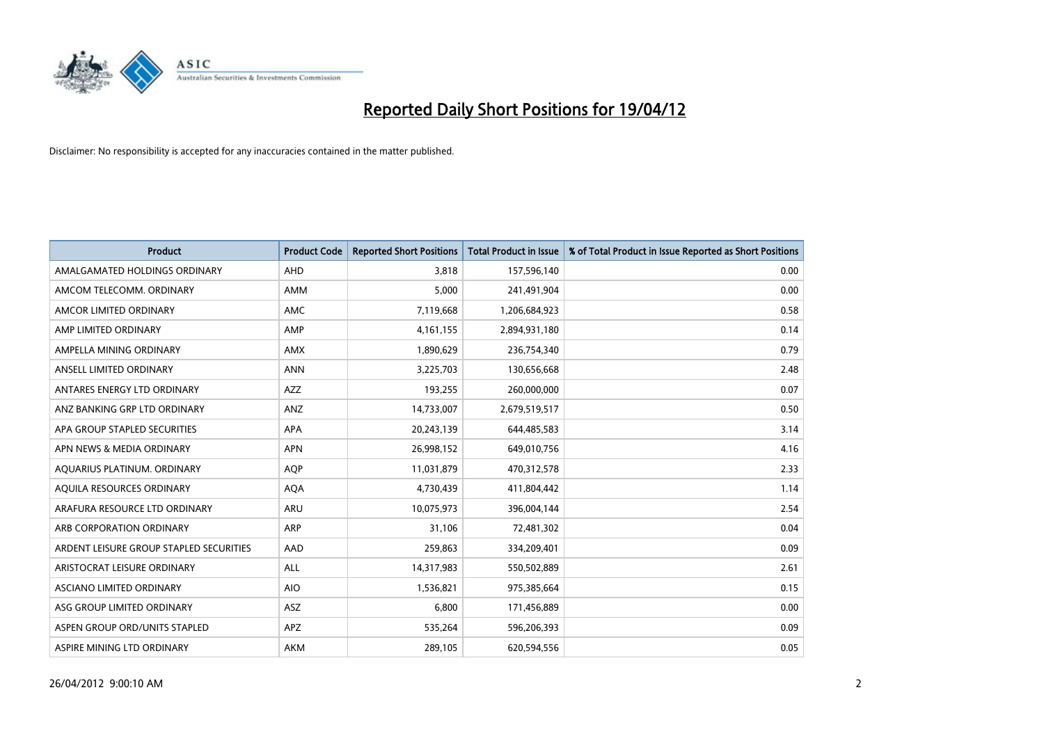

| <b>Product</b>                          | <b>Product Code</b> | <b>Reported Short Positions</b> | <b>Total Product in Issue</b> | % of Total Product in Issue Reported as Short Positions |
|-----------------------------------------|---------------------|---------------------------------|-------------------------------|---------------------------------------------------------|
| AMALGAMATED HOLDINGS ORDINARY           | AHD                 | 3.818                           | 157,596,140                   | 0.00                                                    |
| AMCOM TELECOMM. ORDINARY                | AMM                 | 5,000                           | 241,491,904                   | 0.00                                                    |
| AMCOR LIMITED ORDINARY                  | AMC                 | 7,119,668                       | 1,206,684,923                 | 0.58                                                    |
| AMP LIMITED ORDINARY                    | AMP                 | 4, 161, 155                     | 2,894,931,180                 | 0.14                                                    |
| AMPELLA MINING ORDINARY                 | <b>AMX</b>          | 1,890,629                       | 236,754,340                   | 0.79                                                    |
| ANSELL LIMITED ORDINARY                 | <b>ANN</b>          | 3,225,703                       | 130,656,668                   | 2.48                                                    |
| ANTARES ENERGY LTD ORDINARY             | AZZ                 | 193,255                         | 260,000,000                   | 0.07                                                    |
| ANZ BANKING GRP LTD ORDINARY            | ANZ                 | 14,733,007                      | 2,679,519,517                 | 0.50                                                    |
| APA GROUP STAPLED SECURITIES            | <b>APA</b>          | 20,243,139                      | 644,485,583                   | 3.14                                                    |
| APN NEWS & MEDIA ORDINARY               | <b>APN</b>          | 26,998,152                      | 649,010,756                   | 4.16                                                    |
| AQUARIUS PLATINUM. ORDINARY             | <b>AOP</b>          | 11,031,879                      | 470,312,578                   | 2.33                                                    |
| AQUILA RESOURCES ORDINARY               | <b>AQA</b>          | 4,730,439                       | 411,804,442                   | 1.14                                                    |
| ARAFURA RESOURCE LTD ORDINARY           | ARU                 | 10,075,973                      | 396,004,144                   | 2.54                                                    |
| ARB CORPORATION ORDINARY                | ARP                 | 31,106                          | 72,481,302                    | 0.04                                                    |
| ARDENT LEISURE GROUP STAPLED SECURITIES | AAD                 | 259,863                         | 334,209,401                   | 0.09                                                    |
| ARISTOCRAT LEISURE ORDINARY             | ALL                 | 14,317,983                      | 550,502,889                   | 2.61                                                    |
| ASCIANO LIMITED ORDINARY                | <b>AIO</b>          | 1,536,821                       | 975,385,664                   | 0.15                                                    |
| ASG GROUP LIMITED ORDINARY              | <b>ASZ</b>          | 6,800                           | 171,456,889                   | 0.00                                                    |
| ASPEN GROUP ORD/UNITS STAPLED           | <b>APZ</b>          | 535,264                         | 596,206,393                   | 0.09                                                    |
| ASPIRE MINING LTD ORDINARY              | AKM                 | 289,105                         | 620,594,556                   | 0.05                                                    |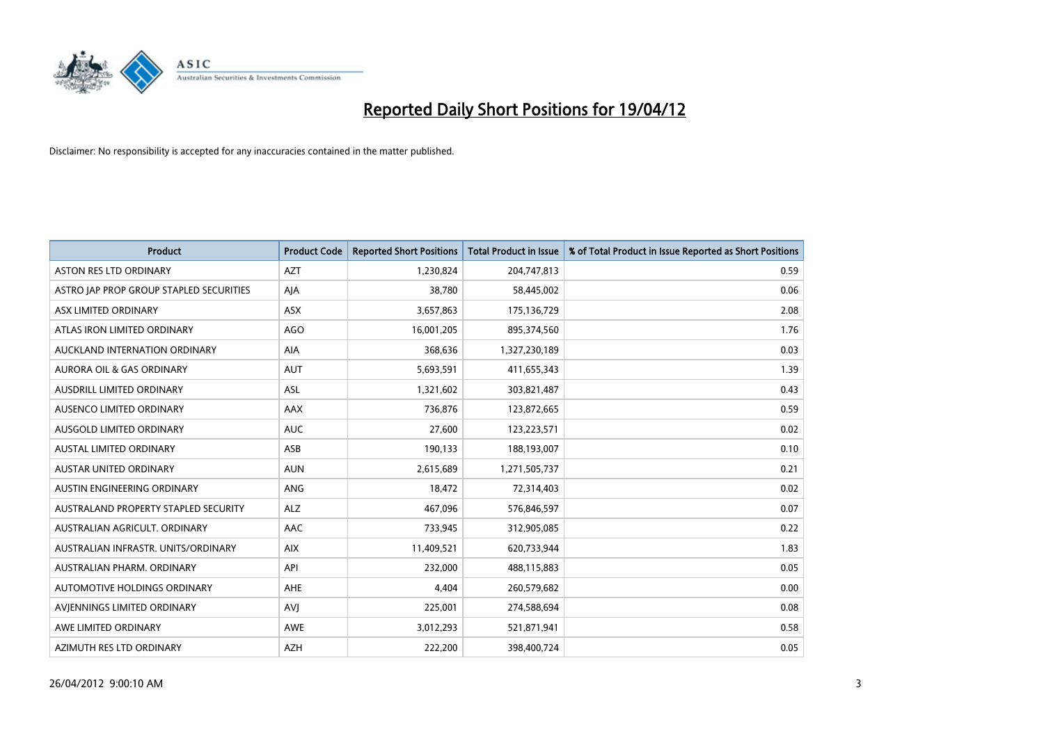

| <b>Product</b>                          | <b>Product Code</b> | <b>Reported Short Positions</b> | <b>Total Product in Issue</b> | % of Total Product in Issue Reported as Short Positions |
|-----------------------------------------|---------------------|---------------------------------|-------------------------------|---------------------------------------------------------|
| <b>ASTON RES LTD ORDINARY</b>           | <b>AZT</b>          | 1,230,824                       | 204,747,813                   | 0.59                                                    |
| ASTRO JAP PROP GROUP STAPLED SECURITIES | AJA                 | 38,780                          | 58,445,002                    | 0.06                                                    |
| ASX LIMITED ORDINARY                    | ASX                 | 3,657,863                       | 175,136,729                   | 2.08                                                    |
| ATLAS IRON LIMITED ORDINARY             | AGO                 | 16,001,205                      | 895,374,560                   | 1.76                                                    |
| AUCKLAND INTERNATION ORDINARY           | AIA                 | 368,636                         | 1,327,230,189                 | 0.03                                                    |
| <b>AURORA OIL &amp; GAS ORDINARY</b>    | <b>AUT</b>          | 5,693,591                       | 411,655,343                   | 1.39                                                    |
| AUSDRILL LIMITED ORDINARY               | ASL                 | 1,321,602                       | 303,821,487                   | 0.43                                                    |
| AUSENCO LIMITED ORDINARY                | AAX                 | 736,876                         | 123,872,665                   | 0.59                                                    |
| AUSGOLD LIMITED ORDINARY                | <b>AUC</b>          | 27,600                          | 123,223,571                   | 0.02                                                    |
| <b>AUSTAL LIMITED ORDINARY</b>          | ASB                 | 190,133                         | 188,193,007                   | 0.10                                                    |
| AUSTAR UNITED ORDINARY                  | <b>AUN</b>          | 2,615,689                       | 1,271,505,737                 | 0.21                                                    |
| AUSTIN ENGINEERING ORDINARY             | ANG                 | 18,472                          | 72,314,403                    | 0.02                                                    |
| AUSTRALAND PROPERTY STAPLED SECURITY    | <b>ALZ</b>          | 467,096                         | 576,846,597                   | 0.07                                                    |
| AUSTRALIAN AGRICULT, ORDINARY           | AAC                 | 733,945                         | 312,905,085                   | 0.22                                                    |
| AUSTRALIAN INFRASTR, UNITS/ORDINARY     | <b>AIX</b>          | 11,409,521                      | 620,733,944                   | 1.83                                                    |
| AUSTRALIAN PHARM. ORDINARY              | API                 | 232,000                         | 488,115,883                   | 0.05                                                    |
| AUTOMOTIVE HOLDINGS ORDINARY            | AHE                 | 4,404                           | 260,579,682                   | 0.00                                                    |
| AVIENNINGS LIMITED ORDINARY             | <b>AVJ</b>          | 225,001                         | 274,588,694                   | 0.08                                                    |
| AWE LIMITED ORDINARY                    | <b>AWE</b>          | 3,012,293                       | 521,871,941                   | 0.58                                                    |
| AZIMUTH RES LTD ORDINARY                | <b>AZH</b>          | 222,200                         | 398,400,724                   | 0.05                                                    |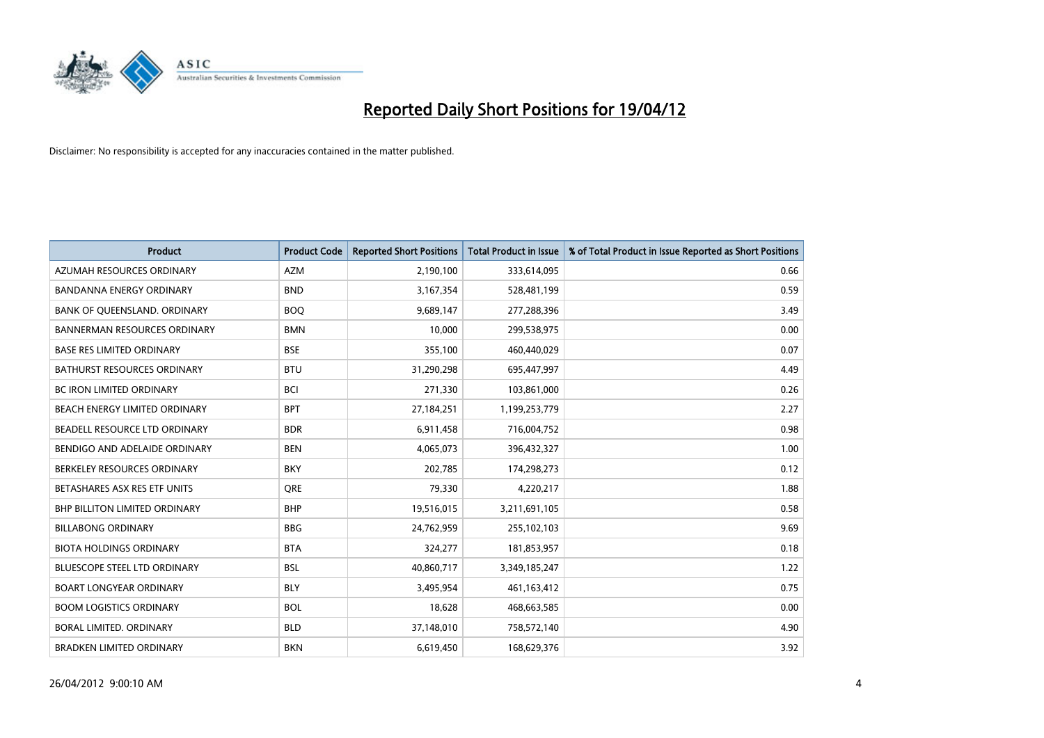

| <b>Product</b>                       | <b>Product Code</b> | <b>Reported Short Positions</b> | <b>Total Product in Issue</b> | % of Total Product in Issue Reported as Short Positions |
|--------------------------------------|---------------------|---------------------------------|-------------------------------|---------------------------------------------------------|
| AZUMAH RESOURCES ORDINARY            | <b>AZM</b>          | 2,190,100                       | 333,614,095                   | 0.66                                                    |
| BANDANNA ENERGY ORDINARY             | <b>BND</b>          | 3,167,354                       | 528,481,199                   | 0.59                                                    |
| BANK OF QUEENSLAND. ORDINARY         | <b>BOQ</b>          | 9,689,147                       | 277,288,396                   | 3.49                                                    |
| <b>BANNERMAN RESOURCES ORDINARY</b>  | <b>BMN</b>          | 10,000                          | 299,538,975                   | 0.00                                                    |
| <b>BASE RES LIMITED ORDINARY</b>     | <b>BSE</b>          | 355,100                         | 460,440,029                   | 0.07                                                    |
| <b>BATHURST RESOURCES ORDINARY</b>   | <b>BTU</b>          | 31,290,298                      | 695,447,997                   | 4.49                                                    |
| <b>BC IRON LIMITED ORDINARY</b>      | <b>BCI</b>          | 271,330                         | 103,861,000                   | 0.26                                                    |
| BEACH ENERGY LIMITED ORDINARY        | <b>BPT</b>          | 27,184,251                      | 1,199,253,779                 | 2.27                                                    |
| BEADELL RESOURCE LTD ORDINARY        | <b>BDR</b>          | 6,911,458                       | 716,004,752                   | 0.98                                                    |
| BENDIGO AND ADELAIDE ORDINARY        | <b>BEN</b>          | 4,065,073                       | 396,432,327                   | 1.00                                                    |
| BERKELEY RESOURCES ORDINARY          | <b>BKY</b>          | 202,785                         | 174,298,273                   | 0.12                                                    |
| BETASHARES ASX RES ETF UNITS         | <b>ORE</b>          | 79,330                          | 4,220,217                     | 1.88                                                    |
| <b>BHP BILLITON LIMITED ORDINARY</b> | <b>BHP</b>          | 19,516,015                      | 3,211,691,105                 | 0.58                                                    |
| <b>BILLABONG ORDINARY</b>            | <b>BBG</b>          | 24,762,959                      | 255,102,103                   | 9.69                                                    |
| <b>BIOTA HOLDINGS ORDINARY</b>       | <b>BTA</b>          | 324,277                         | 181,853,957                   | 0.18                                                    |
| BLUESCOPE STEEL LTD ORDINARY         | <b>BSL</b>          | 40,860,717                      | 3,349,185,247                 | 1.22                                                    |
| <b>BOART LONGYEAR ORDINARY</b>       | <b>BLY</b>          | 3,495,954                       | 461,163,412                   | 0.75                                                    |
| <b>BOOM LOGISTICS ORDINARY</b>       | <b>BOL</b>          | 18,628                          | 468,663,585                   | 0.00                                                    |
| <b>BORAL LIMITED, ORDINARY</b>       | <b>BLD</b>          | 37,148,010                      | 758,572,140                   | 4.90                                                    |
| <b>BRADKEN LIMITED ORDINARY</b>      | <b>BKN</b>          | 6,619,450                       | 168,629,376                   | 3.92                                                    |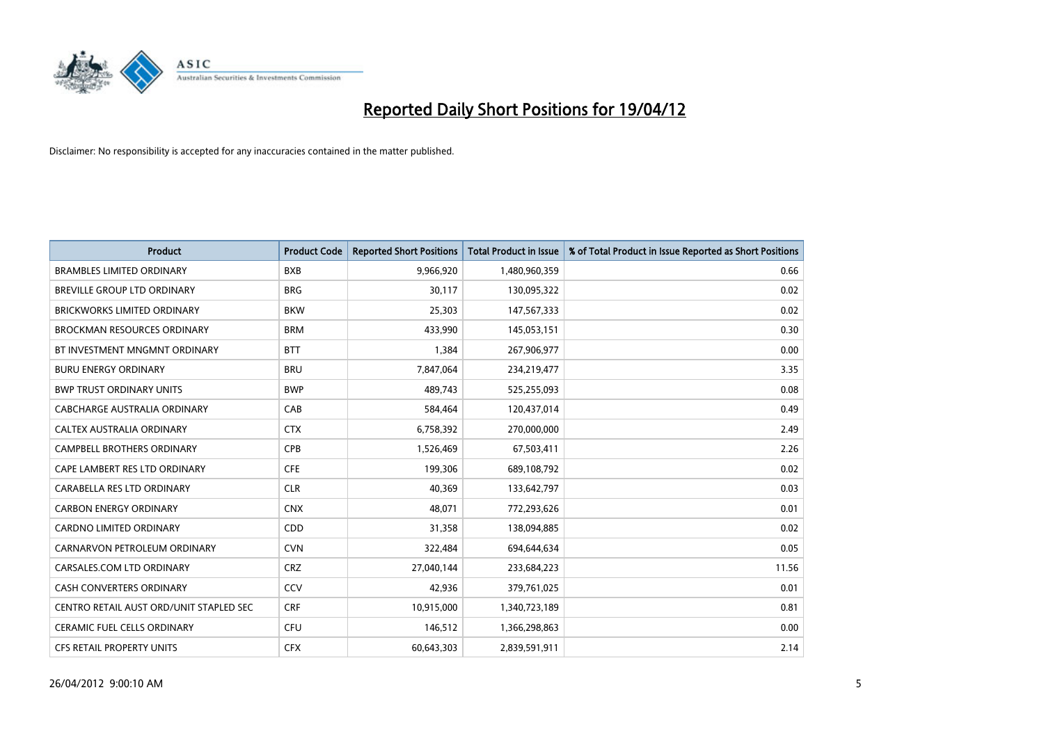

| <b>Product</b>                          | <b>Product Code</b> | <b>Reported Short Positions</b> | <b>Total Product in Issue</b> | % of Total Product in Issue Reported as Short Positions |
|-----------------------------------------|---------------------|---------------------------------|-------------------------------|---------------------------------------------------------|
| <b>BRAMBLES LIMITED ORDINARY</b>        | <b>BXB</b>          | 9,966,920                       | 1,480,960,359                 | 0.66                                                    |
| BREVILLE GROUP LTD ORDINARY             | <b>BRG</b>          | 30,117                          | 130,095,322                   | 0.02                                                    |
| <b>BRICKWORKS LIMITED ORDINARY</b>      | <b>BKW</b>          | 25,303                          | 147,567,333                   | 0.02                                                    |
| <b>BROCKMAN RESOURCES ORDINARY</b>      | <b>BRM</b>          | 433,990                         | 145,053,151                   | 0.30                                                    |
| BT INVESTMENT MNGMNT ORDINARY           | <b>BTT</b>          | 1,384                           | 267,906,977                   | 0.00                                                    |
| <b>BURU ENERGY ORDINARY</b>             | <b>BRU</b>          | 7,847,064                       | 234,219,477                   | 3.35                                                    |
| <b>BWP TRUST ORDINARY UNITS</b>         | <b>BWP</b>          | 489,743                         | 525,255,093                   | 0.08                                                    |
| CABCHARGE AUSTRALIA ORDINARY            | CAB                 | 584,464                         | 120,437,014                   | 0.49                                                    |
| CALTEX AUSTRALIA ORDINARY               | <b>CTX</b>          | 6,758,392                       | 270,000,000                   | 2.49                                                    |
| <b>CAMPBELL BROTHERS ORDINARY</b>       | <b>CPB</b>          | 1,526,469                       | 67,503,411                    | 2.26                                                    |
| CAPE LAMBERT RES LTD ORDINARY           | <b>CFE</b>          | 199,306                         | 689,108,792                   | 0.02                                                    |
| CARABELLA RES LTD ORDINARY              | <b>CLR</b>          | 40,369                          | 133,642,797                   | 0.03                                                    |
| <b>CARBON ENERGY ORDINARY</b>           | <b>CNX</b>          | 48,071                          | 772,293,626                   | 0.01                                                    |
| <b>CARDNO LIMITED ORDINARY</b>          | CDD                 | 31,358                          | 138,094,885                   | 0.02                                                    |
| CARNARVON PETROLEUM ORDINARY            | <b>CVN</b>          | 322,484                         | 694,644,634                   | 0.05                                                    |
| CARSALES.COM LTD ORDINARY               | <b>CRZ</b>          | 27,040,144                      | 233,684,223                   | 11.56                                                   |
| CASH CONVERTERS ORDINARY                | CCV                 | 42,936                          | 379,761,025                   | 0.01                                                    |
| CENTRO RETAIL AUST ORD/UNIT STAPLED SEC | <b>CRF</b>          | 10,915,000                      | 1,340,723,189                 | 0.81                                                    |
| CERAMIC FUEL CELLS ORDINARY             | <b>CFU</b>          | 146,512                         | 1,366,298,863                 | 0.00                                                    |
| CFS RETAIL PROPERTY UNITS               | <b>CFX</b>          | 60,643,303                      | 2,839,591,911                 | 2.14                                                    |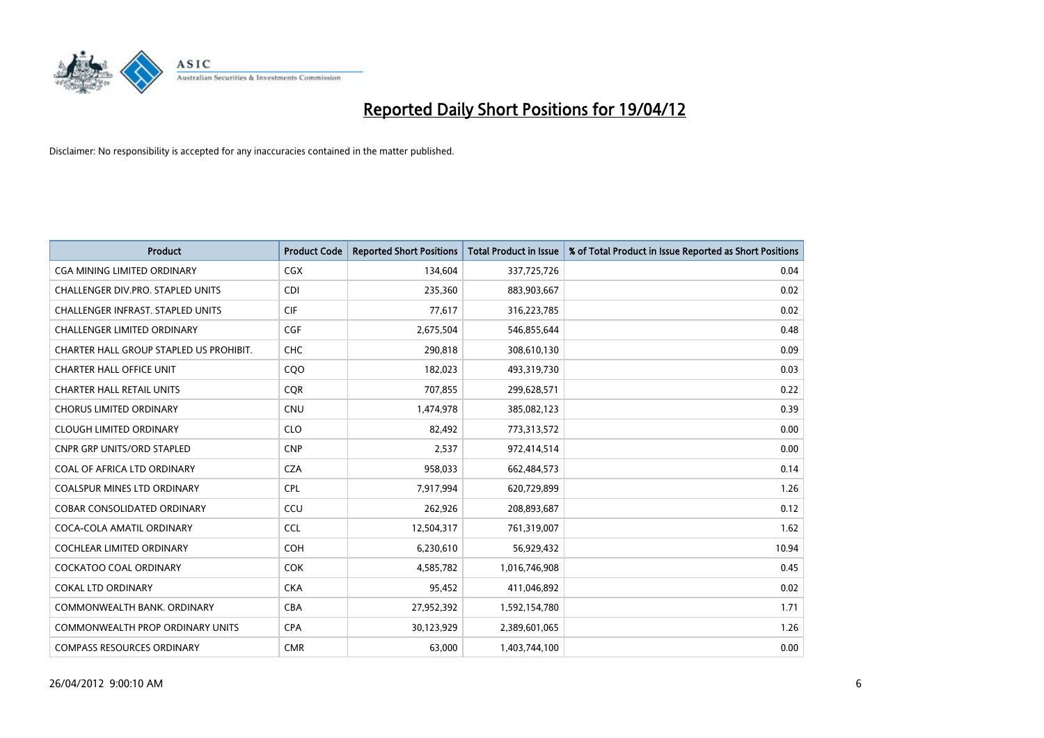

| <b>Product</b>                           | <b>Product Code</b> | <b>Reported Short Positions</b> | <b>Total Product in Issue</b> | % of Total Product in Issue Reported as Short Positions |
|------------------------------------------|---------------------|---------------------------------|-------------------------------|---------------------------------------------------------|
| <b>CGA MINING LIMITED ORDINARY</b>       | CGX                 | 134,604                         | 337,725,726                   | 0.04                                                    |
| CHALLENGER DIV.PRO. STAPLED UNITS        | <b>CDI</b>          | 235,360                         | 883,903,667                   | 0.02                                                    |
| <b>CHALLENGER INFRAST, STAPLED UNITS</b> | <b>CIF</b>          | 77,617                          | 316,223,785                   | 0.02                                                    |
| <b>CHALLENGER LIMITED ORDINARY</b>       | <b>CGF</b>          | 2,675,504                       | 546,855,644                   | 0.48                                                    |
| CHARTER HALL GROUP STAPLED US PROHIBIT.  | <b>CHC</b>          | 290,818                         | 308,610,130                   | 0.09                                                    |
| <b>CHARTER HALL OFFICE UNIT</b>          | COO                 | 182,023                         | 493,319,730                   | 0.03                                                    |
| <b>CHARTER HALL RETAIL UNITS</b>         | <b>CQR</b>          | 707,855                         | 299,628,571                   | 0.22                                                    |
| <b>CHORUS LIMITED ORDINARY</b>           | <b>CNU</b>          | 1,474,978                       | 385,082,123                   | 0.39                                                    |
| <b>CLOUGH LIMITED ORDINARY</b>           | <b>CLO</b>          | 82,492                          | 773,313,572                   | 0.00                                                    |
| <b>CNPR GRP UNITS/ORD STAPLED</b>        | <b>CNP</b>          | 2,537                           | 972,414,514                   | 0.00                                                    |
| COAL OF AFRICA LTD ORDINARY              | <b>CZA</b>          | 958,033                         | 662,484,573                   | 0.14                                                    |
| <b>COALSPUR MINES LTD ORDINARY</b>       | <b>CPL</b>          | 7,917,994                       | 620,729,899                   | 1.26                                                    |
| COBAR CONSOLIDATED ORDINARY              | CCU                 | 262,926                         | 208,893,687                   | 0.12                                                    |
| COCA-COLA AMATIL ORDINARY                | <b>CCL</b>          | 12,504,317                      | 761,319,007                   | 1.62                                                    |
| <b>COCHLEAR LIMITED ORDINARY</b>         | COH                 | 6,230,610                       | 56,929,432                    | 10.94                                                   |
| <b>COCKATOO COAL ORDINARY</b>            | <b>COK</b>          | 4,585,782                       | 1,016,746,908                 | 0.45                                                    |
| <b>COKAL LTD ORDINARY</b>                | <b>CKA</b>          | 95,452                          | 411,046,892                   | 0.02                                                    |
| COMMONWEALTH BANK, ORDINARY              | <b>CBA</b>          | 27,952,392                      | 1,592,154,780                 | 1.71                                                    |
| <b>COMMONWEALTH PROP ORDINARY UNITS</b>  | <b>CPA</b>          | 30,123,929                      | 2,389,601,065                 | 1.26                                                    |
| <b>COMPASS RESOURCES ORDINARY</b>        | <b>CMR</b>          | 63,000                          | 1,403,744,100                 | 0.00                                                    |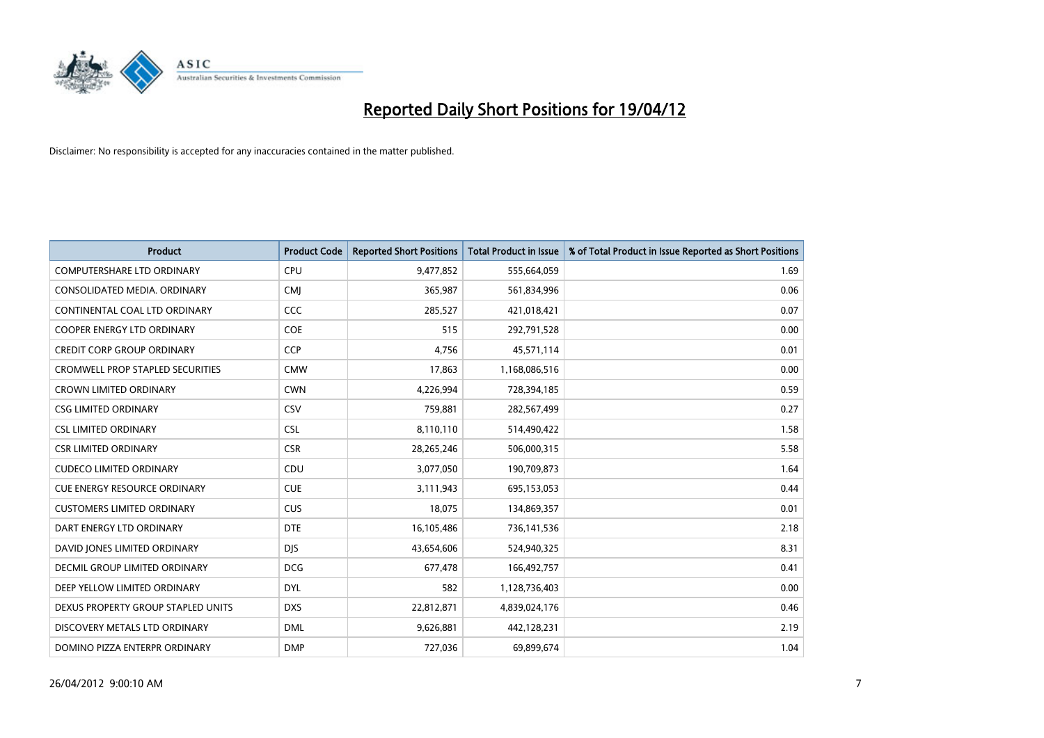

| <b>Product</b>                          | <b>Product Code</b> | <b>Reported Short Positions</b> | <b>Total Product in Issue</b> | % of Total Product in Issue Reported as Short Positions |
|-----------------------------------------|---------------------|---------------------------------|-------------------------------|---------------------------------------------------------|
| <b>COMPUTERSHARE LTD ORDINARY</b>       | <b>CPU</b>          | 9,477,852                       | 555,664,059                   | 1.69                                                    |
| CONSOLIDATED MEDIA. ORDINARY            | <b>CMI</b>          | 365,987                         | 561,834,996                   | 0.06                                                    |
| CONTINENTAL COAL LTD ORDINARY           | CCC                 | 285,527                         | 421,018,421                   | 0.07                                                    |
| COOPER ENERGY LTD ORDINARY              | <b>COE</b>          | 515                             | 292,791,528                   | 0.00                                                    |
| <b>CREDIT CORP GROUP ORDINARY</b>       | <b>CCP</b>          | 4,756                           | 45,571,114                    | 0.01                                                    |
| <b>CROMWELL PROP STAPLED SECURITIES</b> | <b>CMW</b>          | 17,863                          | 1,168,086,516                 | 0.00                                                    |
| <b>CROWN LIMITED ORDINARY</b>           | <b>CWN</b>          | 4,226,994                       | 728,394,185                   | 0.59                                                    |
| <b>CSG LIMITED ORDINARY</b>             | CSV                 | 759,881                         | 282,567,499                   | 0.27                                                    |
| <b>CSL LIMITED ORDINARY</b>             | <b>CSL</b>          | 8,110,110                       | 514,490,422                   | 1.58                                                    |
| <b>CSR LIMITED ORDINARY</b>             | <b>CSR</b>          | 28,265,246                      | 506,000,315                   | 5.58                                                    |
| <b>CUDECO LIMITED ORDINARY</b>          | CDU                 | 3,077,050                       | 190,709,873                   | 1.64                                                    |
| <b>CUE ENERGY RESOURCE ORDINARY</b>     | <b>CUE</b>          | 3,111,943                       | 695,153,053                   | 0.44                                                    |
| <b>CUSTOMERS LIMITED ORDINARY</b>       | <b>CUS</b>          | 18,075                          | 134,869,357                   | 0.01                                                    |
| DART ENERGY LTD ORDINARY                | <b>DTE</b>          | 16,105,486                      | 736,141,536                   | 2.18                                                    |
| DAVID JONES LIMITED ORDINARY            | <b>DJS</b>          | 43,654,606                      | 524,940,325                   | 8.31                                                    |
| <b>DECMIL GROUP LIMITED ORDINARY</b>    | <b>DCG</b>          | 677,478                         | 166,492,757                   | 0.41                                                    |
| DEEP YELLOW LIMITED ORDINARY            | <b>DYL</b>          | 582                             | 1,128,736,403                 | 0.00                                                    |
| DEXUS PROPERTY GROUP STAPLED UNITS      | <b>DXS</b>          | 22,812,871                      | 4,839,024,176                 | 0.46                                                    |
| DISCOVERY METALS LTD ORDINARY           | <b>DML</b>          | 9,626,881                       | 442,128,231                   | 2.19                                                    |
| DOMINO PIZZA ENTERPR ORDINARY           | <b>DMP</b>          | 727,036                         | 69,899,674                    | 1.04                                                    |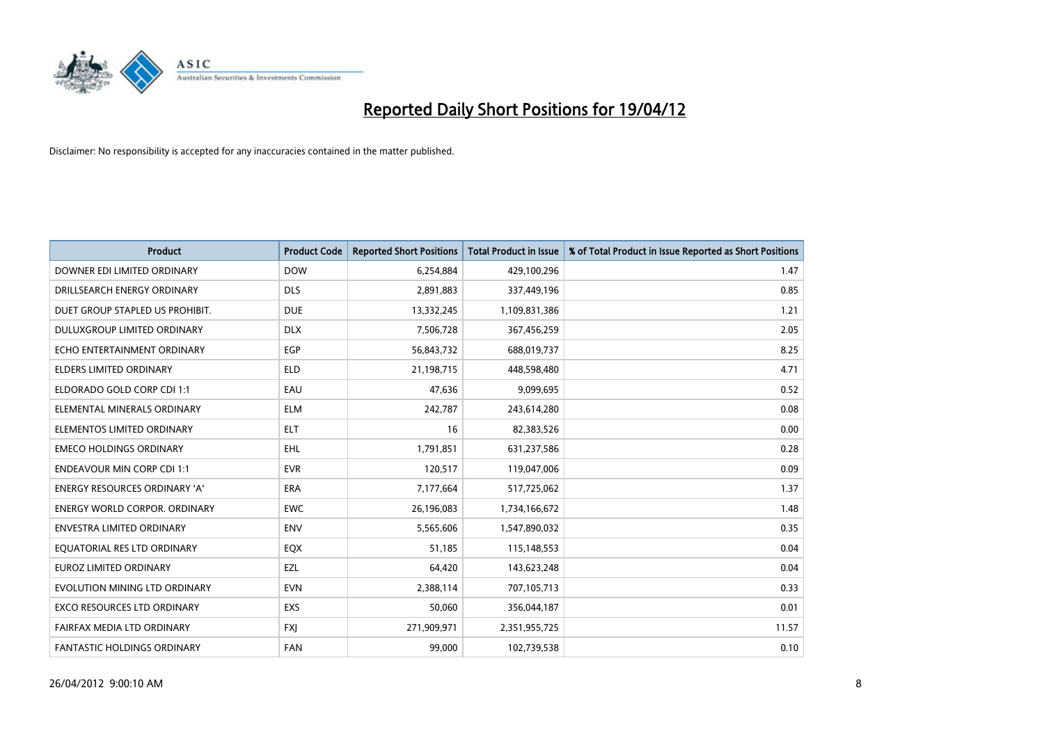

| <b>Product</b>                       | <b>Product Code</b> | <b>Reported Short Positions</b> | <b>Total Product in Issue</b> | % of Total Product in Issue Reported as Short Positions |
|--------------------------------------|---------------------|---------------------------------|-------------------------------|---------------------------------------------------------|
| DOWNER EDI LIMITED ORDINARY          | <b>DOW</b>          | 6,254,884                       | 429,100,296                   | 1.47                                                    |
| DRILLSEARCH ENERGY ORDINARY          | <b>DLS</b>          | 2,891,883                       | 337,449,196                   | 0.85                                                    |
| DUET GROUP STAPLED US PROHIBIT.      | <b>DUE</b>          | 13,332,245                      | 1,109,831,386                 | 1.21                                                    |
| DULUXGROUP LIMITED ORDINARY          | <b>DLX</b>          | 7,506,728                       | 367,456,259                   | 2.05                                                    |
| ECHO ENTERTAINMENT ORDINARY          | <b>EGP</b>          | 56,843,732                      | 688,019,737                   | 8.25                                                    |
| <b>ELDERS LIMITED ORDINARY</b>       | <b>ELD</b>          | 21,198,715                      | 448,598,480                   | 4.71                                                    |
| ELDORADO GOLD CORP CDI 1:1           | EAU                 | 47,636                          | 9,099,695                     | 0.52                                                    |
| ELEMENTAL MINERALS ORDINARY          | <b>ELM</b>          | 242,787                         | 243,614,280                   | 0.08                                                    |
| ELEMENTOS LIMITED ORDINARY           | <b>ELT</b>          | 16                              | 82,383,526                    | 0.00                                                    |
| <b>EMECO HOLDINGS ORDINARY</b>       | <b>EHL</b>          | 1,791,851                       | 631,237,586                   | 0.28                                                    |
| <b>ENDEAVOUR MIN CORP CDI 1:1</b>    | <b>EVR</b>          | 120,517                         | 119,047,006                   | 0.09                                                    |
| <b>ENERGY RESOURCES ORDINARY 'A'</b> | ERA                 | 7,177,664                       | 517,725,062                   | 1.37                                                    |
| <b>ENERGY WORLD CORPOR. ORDINARY</b> | <b>EWC</b>          | 26,196,083                      | 1,734,166,672                 | 1.48                                                    |
| <b>ENVESTRA LIMITED ORDINARY</b>     | ENV                 | 5,565,606                       | 1,547,890,032                 | 0.35                                                    |
| EQUATORIAL RES LTD ORDINARY          | EQX                 | 51,185                          | 115,148,553                   | 0.04                                                    |
| EUROZ LIMITED ORDINARY               | EZL                 | 64,420                          | 143,623,248                   | 0.04                                                    |
| EVOLUTION MINING LTD ORDINARY        | <b>EVN</b>          | 2,388,114                       | 707,105,713                   | 0.33                                                    |
| EXCO RESOURCES LTD ORDINARY          | <b>EXS</b>          | 50,060                          | 356,044,187                   | 0.01                                                    |
| FAIRFAX MEDIA LTD ORDINARY           | <b>FXI</b>          | 271,909,971                     | 2,351,955,725                 | 11.57                                                   |
| FANTASTIC HOLDINGS ORDINARY          | <b>FAN</b>          | 99,000                          | 102,739,538                   | 0.10                                                    |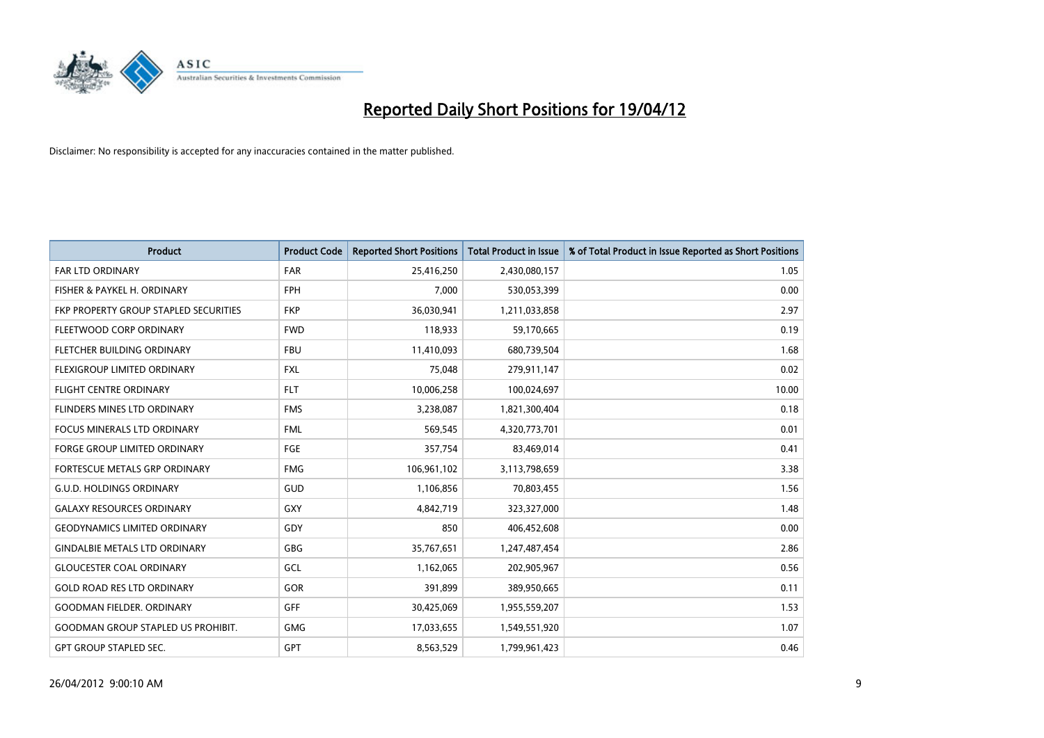

| Product                                   | <b>Product Code</b> | <b>Reported Short Positions</b> | <b>Total Product in Issue</b> | % of Total Product in Issue Reported as Short Positions |
|-------------------------------------------|---------------------|---------------------------------|-------------------------------|---------------------------------------------------------|
| <b>FAR LTD ORDINARY</b>                   | <b>FAR</b>          | 25,416,250                      | 2,430,080,157                 | 1.05                                                    |
| FISHER & PAYKEL H. ORDINARY               | <b>FPH</b>          | 7,000                           | 530,053,399                   | 0.00                                                    |
| FKP PROPERTY GROUP STAPLED SECURITIES     | <b>FKP</b>          | 36,030,941                      | 1,211,033,858                 | 2.97                                                    |
| FLEETWOOD CORP ORDINARY                   | <b>FWD</b>          | 118,933                         | 59,170,665                    | 0.19                                                    |
| FLETCHER BUILDING ORDINARY                | <b>FBU</b>          | 11,410,093                      | 680,739,504                   | 1.68                                                    |
| FLEXIGROUP LIMITED ORDINARY               | <b>FXL</b>          | 75,048                          | 279,911,147                   | 0.02                                                    |
| <b>FLIGHT CENTRE ORDINARY</b>             | <b>FLT</b>          | 10,006,258                      | 100,024,697                   | 10.00                                                   |
| FLINDERS MINES LTD ORDINARY               | <b>FMS</b>          | 3,238,087                       | 1,821,300,404                 | 0.18                                                    |
| <b>FOCUS MINERALS LTD ORDINARY</b>        | <b>FML</b>          | 569,545                         | 4,320,773,701                 | 0.01                                                    |
| <b>FORGE GROUP LIMITED ORDINARY</b>       | FGE                 | 357,754                         | 83,469,014                    | 0.41                                                    |
| FORTESCUE METALS GRP ORDINARY             | <b>FMG</b>          | 106,961,102                     | 3,113,798,659                 | 3.38                                                    |
| <b>G.U.D. HOLDINGS ORDINARY</b>           | GUD                 | 1,106,856                       | 70,803,455                    | 1.56                                                    |
| <b>GALAXY RESOURCES ORDINARY</b>          | GXY                 | 4,842,719                       | 323,327,000                   | 1.48                                                    |
| <b>GEODYNAMICS LIMITED ORDINARY</b>       | GDY                 | 850                             | 406,452,608                   | 0.00                                                    |
| <b>GINDALBIE METALS LTD ORDINARY</b>      | GBG                 | 35,767,651                      | 1,247,487,454                 | 2.86                                                    |
| <b>GLOUCESTER COAL ORDINARY</b>           | GCL                 | 1,162,065                       | 202,905,967                   | 0.56                                                    |
| <b>GOLD ROAD RES LTD ORDINARY</b>         | GOR                 | 391,899                         | 389,950,665                   | 0.11                                                    |
| <b>GOODMAN FIELDER, ORDINARY</b>          | GFF                 | 30,425,069                      | 1,955,559,207                 | 1.53                                                    |
| <b>GOODMAN GROUP STAPLED US PROHIBIT.</b> | <b>GMG</b>          | 17,033,655                      | 1,549,551,920                 | 1.07                                                    |
| GPT GROUP STAPLED SEC.                    | GPT                 | 8,563,529                       | 1,799,961,423                 | 0.46                                                    |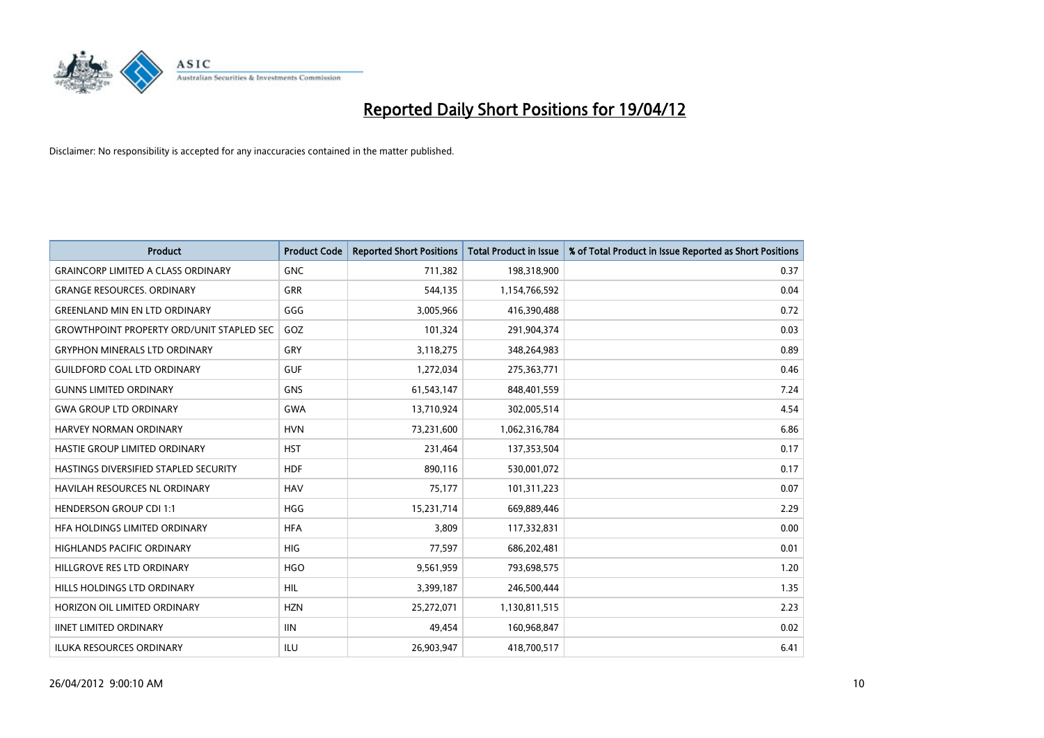

| <b>Product</b>                                   | <b>Product Code</b> | <b>Reported Short Positions</b> | <b>Total Product in Issue</b> | % of Total Product in Issue Reported as Short Positions |
|--------------------------------------------------|---------------------|---------------------------------|-------------------------------|---------------------------------------------------------|
| <b>GRAINCORP LIMITED A CLASS ORDINARY</b>        | <b>GNC</b>          | 711,382                         | 198,318,900                   | 0.37                                                    |
| <b>GRANGE RESOURCES. ORDINARY</b>                | GRR                 | 544,135                         | 1,154,766,592                 | 0.04                                                    |
| <b>GREENLAND MIN EN LTD ORDINARY</b>             | GGG                 | 3,005,966                       | 416,390,488                   | 0.72                                                    |
| <b>GROWTHPOINT PROPERTY ORD/UNIT STAPLED SEC</b> | GOZ                 | 101,324                         | 291,904,374                   | 0.03                                                    |
| <b>GRYPHON MINERALS LTD ORDINARY</b>             | GRY                 | 3,118,275                       | 348,264,983                   | 0.89                                                    |
| <b>GUILDFORD COAL LTD ORDINARY</b>               | <b>GUF</b>          | 1,272,034                       | 275,363,771                   | 0.46                                                    |
| <b>GUNNS LIMITED ORDINARY</b>                    | <b>GNS</b>          | 61,543,147                      | 848,401,559                   | 7.24                                                    |
| <b>GWA GROUP LTD ORDINARY</b>                    | GWA                 | 13,710,924                      | 302,005,514                   | 4.54                                                    |
| <b>HARVEY NORMAN ORDINARY</b>                    | <b>HVN</b>          | 73,231,600                      | 1,062,316,784                 | 6.86                                                    |
| HASTIE GROUP LIMITED ORDINARY                    | <b>HST</b>          | 231,464                         | 137,353,504                   | 0.17                                                    |
| HASTINGS DIVERSIFIED STAPLED SECURITY            | <b>HDF</b>          | 890,116                         | 530,001,072                   | 0.17                                                    |
| <b>HAVILAH RESOURCES NL ORDINARY</b>             | <b>HAV</b>          | 75,177                          | 101,311,223                   | 0.07                                                    |
| <b>HENDERSON GROUP CDI 1:1</b>                   | <b>HGG</b>          | 15,231,714                      | 669,889,446                   | 2.29                                                    |
| HFA HOLDINGS LIMITED ORDINARY                    | <b>HFA</b>          | 3,809                           | 117,332,831                   | 0.00                                                    |
| <b>HIGHLANDS PACIFIC ORDINARY</b>                | <b>HIG</b>          | 77,597                          | 686,202,481                   | 0.01                                                    |
| HILLGROVE RES LTD ORDINARY                       | <b>HGO</b>          | 9,561,959                       | 793,698,575                   | 1.20                                                    |
| HILLS HOLDINGS LTD ORDINARY                      | <b>HIL</b>          | 3,399,187                       | 246,500,444                   | 1.35                                                    |
| HORIZON OIL LIMITED ORDINARY                     | <b>HZN</b>          | 25,272,071                      | 1,130,811,515                 | 2.23                                                    |
| <b>IINET LIMITED ORDINARY</b>                    | <b>IIN</b>          | 49,454                          | 160,968,847                   | 0.02                                                    |
| ILUKA RESOURCES ORDINARY                         | ILU                 | 26,903,947                      | 418,700,517                   | 6.41                                                    |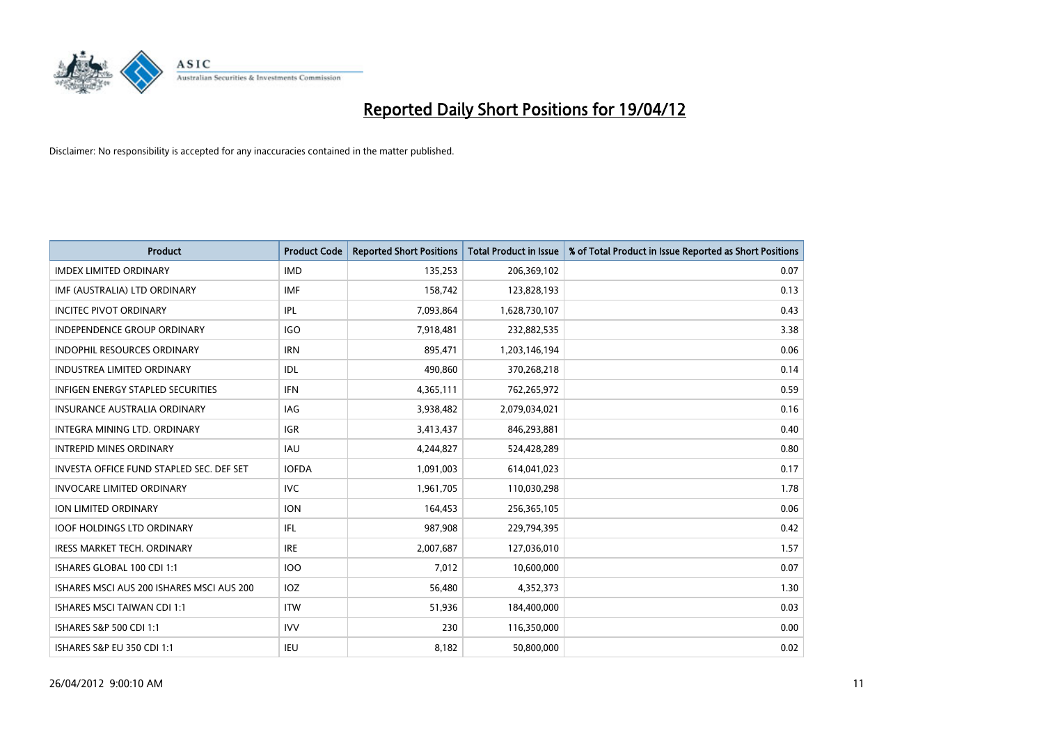

| <b>Product</b>                            | <b>Product Code</b> | <b>Reported Short Positions</b> | <b>Total Product in Issue</b> | % of Total Product in Issue Reported as Short Positions |
|-------------------------------------------|---------------------|---------------------------------|-------------------------------|---------------------------------------------------------|
| <b>IMDEX LIMITED ORDINARY</b>             | <b>IMD</b>          | 135,253                         | 206,369,102                   | 0.07                                                    |
| IMF (AUSTRALIA) LTD ORDINARY              | <b>IMF</b>          | 158,742                         | 123,828,193                   | 0.13                                                    |
| <b>INCITEC PIVOT ORDINARY</b>             | IPL                 | 7,093,864                       | 1,628,730,107                 | 0.43                                                    |
| INDEPENDENCE GROUP ORDINARY               | <b>IGO</b>          | 7,918,481                       | 232,882,535                   | 3.38                                                    |
| <b>INDOPHIL RESOURCES ORDINARY</b>        | <b>IRN</b>          | 895,471                         | 1,203,146,194                 | 0.06                                                    |
| <b>INDUSTREA LIMITED ORDINARY</b>         | IDL                 | 490,860                         | 370,268,218                   | 0.14                                                    |
| <b>INFIGEN ENERGY STAPLED SECURITIES</b>  | <b>IFN</b>          | 4,365,111                       | 762,265,972                   | 0.59                                                    |
| <b>INSURANCE AUSTRALIA ORDINARY</b>       | IAG                 | 3,938,482                       | 2,079,034,021                 | 0.16                                                    |
| INTEGRA MINING LTD, ORDINARY              | <b>IGR</b>          | 3,413,437                       | 846,293,881                   | 0.40                                                    |
| <b>INTREPID MINES ORDINARY</b>            | <b>IAU</b>          | 4,244,827                       | 524,428,289                   | 0.80                                                    |
| INVESTA OFFICE FUND STAPLED SEC. DEF SET  | <b>IOFDA</b>        | 1,091,003                       | 614,041,023                   | 0.17                                                    |
| <b>INVOCARE LIMITED ORDINARY</b>          | <b>IVC</b>          | 1,961,705                       | 110,030,298                   | 1.78                                                    |
| ION LIMITED ORDINARY                      | <b>ION</b>          | 164,453                         | 256,365,105                   | 0.06                                                    |
| <b>IOOF HOLDINGS LTD ORDINARY</b>         | IFL                 | 987,908                         | 229,794,395                   | 0.42                                                    |
| <b>IRESS MARKET TECH. ORDINARY</b>        | <b>IRE</b>          | 2,007,687                       | 127,036,010                   | 1.57                                                    |
| ISHARES GLOBAL 100 CDI 1:1                | <b>IOO</b>          | 7,012                           | 10,600,000                    | 0.07                                                    |
| ISHARES MSCI AUS 200 ISHARES MSCI AUS 200 | IOZ                 | 56,480                          | 4,352,373                     | 1.30                                                    |
| <b>ISHARES MSCI TAIWAN CDI 1:1</b>        | <b>ITW</b>          | 51,936                          | 184,400,000                   | 0.03                                                    |
| ISHARES S&P 500 CDI 1:1                   | <b>IVV</b>          | 230                             | 116,350,000                   | 0.00                                                    |
| ISHARES S&P EU 350 CDI 1:1                | IEU                 | 8,182                           | 50,800,000                    | 0.02                                                    |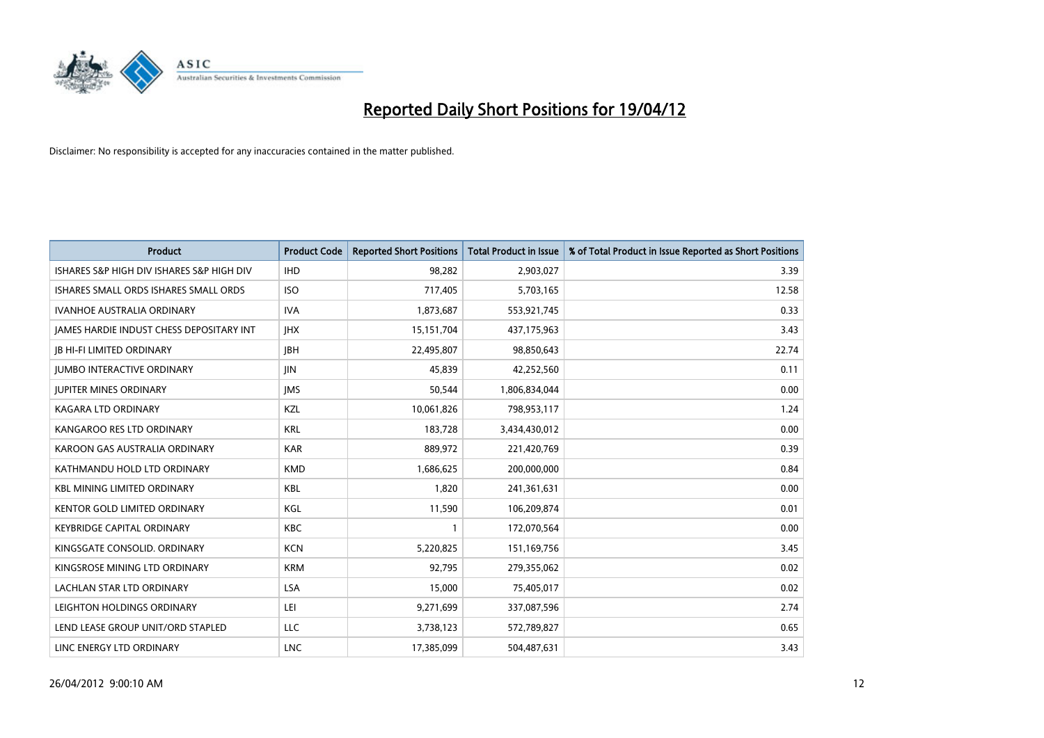

| <b>Product</b>                            | <b>Product Code</b> | <b>Reported Short Positions</b> | <b>Total Product in Issue</b> | % of Total Product in Issue Reported as Short Positions |
|-------------------------------------------|---------------------|---------------------------------|-------------------------------|---------------------------------------------------------|
| ISHARES S&P HIGH DIV ISHARES S&P HIGH DIV | <b>IHD</b>          | 98,282                          | 2,903,027                     | 3.39                                                    |
| ISHARES SMALL ORDS ISHARES SMALL ORDS     | <b>ISO</b>          | 717,405                         | 5,703,165                     | 12.58                                                   |
| <b>IVANHOE AUSTRALIA ORDINARY</b>         | <b>IVA</b>          | 1,873,687                       | 553,921,745                   | 0.33                                                    |
| JAMES HARDIE INDUST CHESS DEPOSITARY INT  | <b>IHX</b>          | 15,151,704                      | 437,175,963                   | 3.43                                                    |
| <b>JB HI-FI LIMITED ORDINARY</b>          | <b>IBH</b>          | 22,495,807                      | 98,850,643                    | 22.74                                                   |
| <b>IUMBO INTERACTIVE ORDINARY</b>         | <b>IIN</b>          | 45,839                          | 42,252,560                    | 0.11                                                    |
| <b>JUPITER MINES ORDINARY</b>             | <b>IMS</b>          | 50,544                          | 1,806,834,044                 | 0.00                                                    |
| <b>KAGARA LTD ORDINARY</b>                | KZL                 | 10,061,826                      | 798,953,117                   | 1.24                                                    |
| KANGAROO RES LTD ORDINARY                 | <b>KRL</b>          | 183,728                         | 3,434,430,012                 | 0.00                                                    |
| KAROON GAS AUSTRALIA ORDINARY             | <b>KAR</b>          | 889,972                         | 221,420,769                   | 0.39                                                    |
| KATHMANDU HOLD LTD ORDINARY               | <b>KMD</b>          | 1,686,625                       | 200,000,000                   | 0.84                                                    |
| <b>KBL MINING LIMITED ORDINARY</b>        | <b>KBL</b>          | 1,820                           | 241,361,631                   | 0.00                                                    |
| KENTOR GOLD LIMITED ORDINARY              | KGL                 | 11,590                          | 106,209,874                   | 0.01                                                    |
| <b>KEYBRIDGE CAPITAL ORDINARY</b>         | KBC                 | 1                               | 172,070,564                   | 0.00                                                    |
| KINGSGATE CONSOLID. ORDINARY              | <b>KCN</b>          | 5,220,825                       | 151,169,756                   | 3.45                                                    |
| KINGSROSE MINING LTD ORDINARY             | <b>KRM</b>          | 92,795                          | 279,355,062                   | 0.02                                                    |
| LACHLAN STAR LTD ORDINARY                 | LSA                 | 15,000                          | 75,405,017                    | 0.02                                                    |
| LEIGHTON HOLDINGS ORDINARY                | LEI                 | 9,271,699                       | 337,087,596                   | 2.74                                                    |
| LEND LEASE GROUP UNIT/ORD STAPLED         | LLC                 | 3,738,123                       | 572,789,827                   | 0.65                                                    |
| LINC ENERGY LTD ORDINARY                  | <b>LNC</b>          | 17,385,099                      | 504,487,631                   | 3.43                                                    |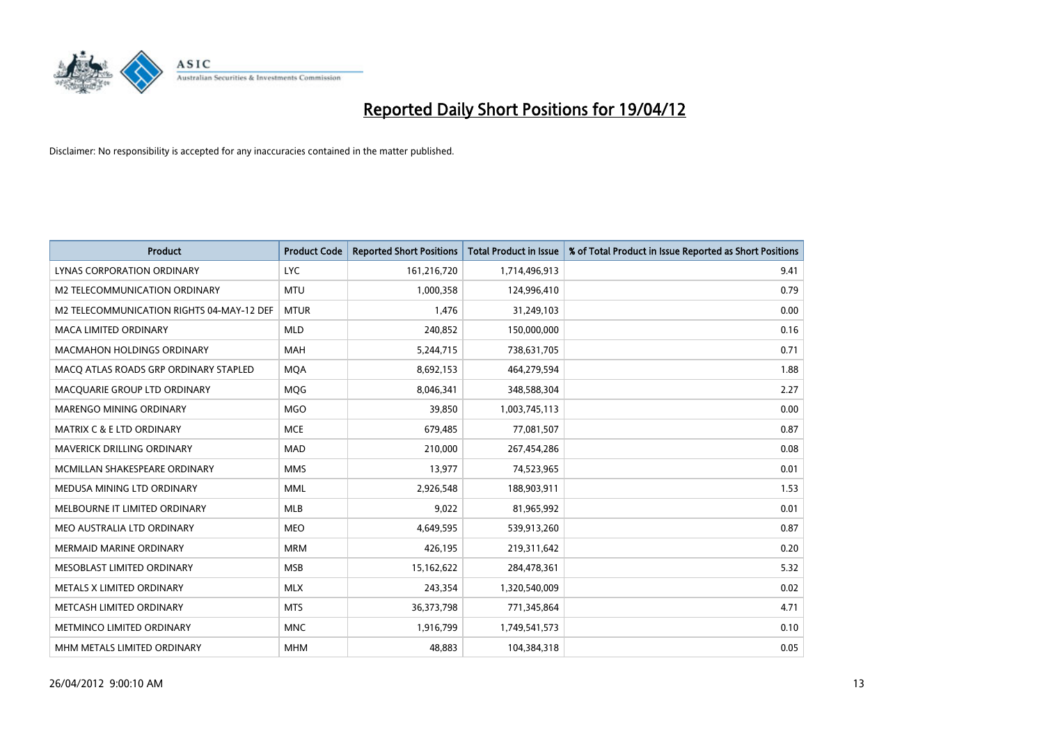

| <b>Product</b>                            | <b>Product Code</b> | <b>Reported Short Positions</b> | <b>Total Product in Issue</b> | % of Total Product in Issue Reported as Short Positions |
|-------------------------------------------|---------------------|---------------------------------|-------------------------------|---------------------------------------------------------|
| <b>LYNAS CORPORATION ORDINARY</b>         | <b>LYC</b>          | 161,216,720                     | 1,714,496,913                 | 9.41                                                    |
| M2 TELECOMMUNICATION ORDINARY             | <b>MTU</b>          | 1,000,358                       | 124,996,410                   | 0.79                                                    |
| M2 TELECOMMUNICATION RIGHTS 04-MAY-12 DEF | <b>MTUR</b>         | 1,476                           | 31,249,103                    | 0.00                                                    |
| <b>MACA LIMITED ORDINARY</b>              | <b>MLD</b>          | 240,852                         | 150,000,000                   | 0.16                                                    |
| <b>MACMAHON HOLDINGS ORDINARY</b>         | <b>MAH</b>          | 5,244,715                       | 738,631,705                   | 0.71                                                    |
| MACO ATLAS ROADS GRP ORDINARY STAPLED     | <b>MQA</b>          | 8,692,153                       | 464,279,594                   | 1.88                                                    |
| MACQUARIE GROUP LTD ORDINARY              | MQG                 | 8,046,341                       | 348,588,304                   | 2.27                                                    |
| MARENGO MINING ORDINARY                   | <b>MGO</b>          | 39,850                          | 1,003,745,113                 | 0.00                                                    |
| MATRIX C & E LTD ORDINARY                 | <b>MCE</b>          | 679,485                         | 77,081,507                    | 0.87                                                    |
| MAVERICK DRILLING ORDINARY                | <b>MAD</b>          | 210,000                         | 267,454,286                   | 0.08                                                    |
| MCMILLAN SHAKESPEARE ORDINARY             | <b>MMS</b>          | 13,977                          | 74,523,965                    | 0.01                                                    |
| MEDUSA MINING LTD ORDINARY                | <b>MML</b>          | 2,926,548                       | 188,903,911                   | 1.53                                                    |
| MELBOURNE IT LIMITED ORDINARY             | <b>MLB</b>          | 9,022                           | 81,965,992                    | 0.01                                                    |
| MEO AUSTRALIA LTD ORDINARY                | <b>MEO</b>          | 4,649,595                       | 539,913,260                   | 0.87                                                    |
| MERMAID MARINE ORDINARY                   | <b>MRM</b>          | 426,195                         | 219,311,642                   | 0.20                                                    |
| MESOBLAST LIMITED ORDINARY                | <b>MSB</b>          | 15,162,622                      | 284,478,361                   | 5.32                                                    |
| METALS X LIMITED ORDINARY                 | <b>MLX</b>          | 243,354                         | 1,320,540,009                 | 0.02                                                    |
| METCASH LIMITED ORDINARY                  | <b>MTS</b>          | 36,373,798                      | 771,345,864                   | 4.71                                                    |
| METMINCO LIMITED ORDINARY                 | <b>MNC</b>          | 1,916,799                       | 1,749,541,573                 | 0.10                                                    |
| MHM METALS LIMITED ORDINARY               | <b>MHM</b>          | 48,883                          | 104,384,318                   | 0.05                                                    |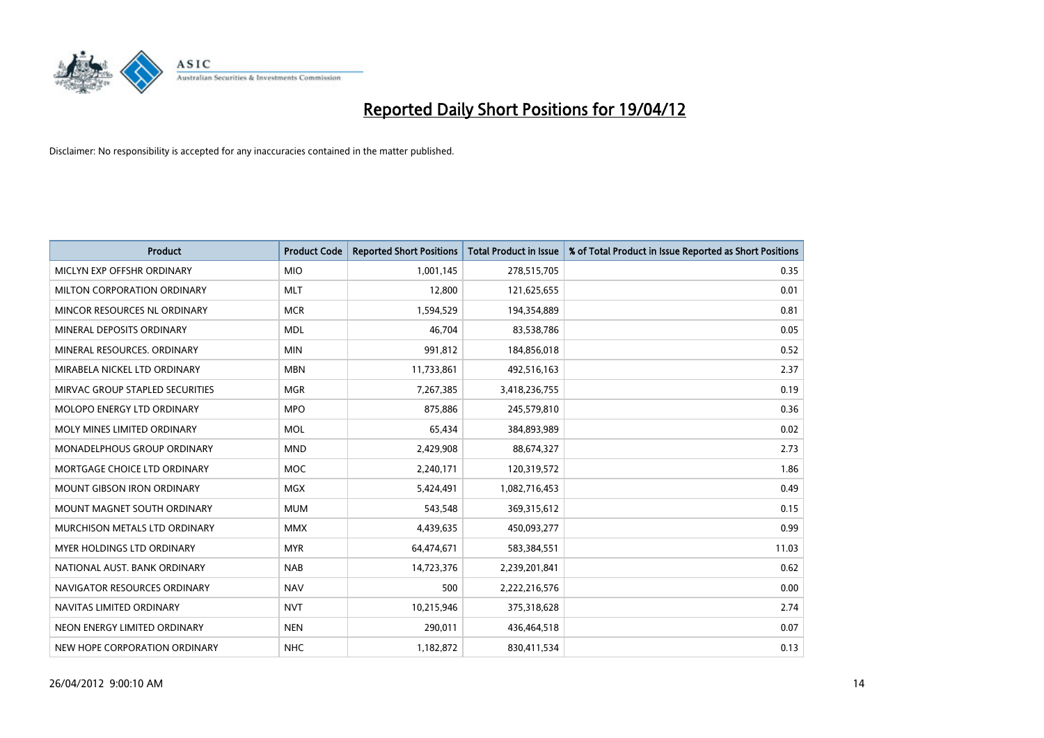

| <b>Product</b>                    | <b>Product Code</b> | <b>Reported Short Positions</b> | <b>Total Product in Issue</b> | % of Total Product in Issue Reported as Short Positions |
|-----------------------------------|---------------------|---------------------------------|-------------------------------|---------------------------------------------------------|
| MICLYN EXP OFFSHR ORDINARY        | <b>MIO</b>          | 1,001,145                       | 278,515,705                   | 0.35                                                    |
| MILTON CORPORATION ORDINARY       | <b>MLT</b>          | 12,800                          | 121,625,655                   | 0.01                                                    |
| MINCOR RESOURCES NL ORDINARY      | <b>MCR</b>          | 1,594,529                       | 194,354,889                   | 0.81                                                    |
| MINERAL DEPOSITS ORDINARY         | <b>MDL</b>          | 46,704                          | 83,538,786                    | 0.05                                                    |
| MINERAL RESOURCES, ORDINARY       | <b>MIN</b>          | 991,812                         | 184,856,018                   | 0.52                                                    |
| MIRABELA NICKEL LTD ORDINARY      | <b>MBN</b>          | 11,733,861                      | 492,516,163                   | 2.37                                                    |
| MIRVAC GROUP STAPLED SECURITIES   | <b>MGR</b>          | 7,267,385                       | 3,418,236,755                 | 0.19                                                    |
| MOLOPO ENERGY LTD ORDINARY        | <b>MPO</b>          | 875,886                         | 245,579,810                   | 0.36                                                    |
| MOLY MINES LIMITED ORDINARY       | <b>MOL</b>          | 65,434                          | 384,893,989                   | 0.02                                                    |
| MONADELPHOUS GROUP ORDINARY       | <b>MND</b>          | 2,429,908                       | 88,674,327                    | 2.73                                                    |
| MORTGAGE CHOICE LTD ORDINARY      | <b>MOC</b>          | 2,240,171                       | 120,319,572                   | 1.86                                                    |
| <b>MOUNT GIBSON IRON ORDINARY</b> | <b>MGX</b>          | 5,424,491                       | 1,082,716,453                 | 0.49                                                    |
| MOUNT MAGNET SOUTH ORDINARY       | <b>MUM</b>          | 543,548                         | 369,315,612                   | 0.15                                                    |
| MURCHISON METALS LTD ORDINARY     | <b>MMX</b>          | 4,439,635                       | 450,093,277                   | 0.99                                                    |
| MYER HOLDINGS LTD ORDINARY        | <b>MYR</b>          | 64,474,671                      | 583,384,551                   | 11.03                                                   |
| NATIONAL AUST. BANK ORDINARY      | <b>NAB</b>          | 14,723,376                      | 2,239,201,841                 | 0.62                                                    |
| NAVIGATOR RESOURCES ORDINARY      | <b>NAV</b>          | 500                             | 2,222,216,576                 | 0.00                                                    |
| NAVITAS LIMITED ORDINARY          | <b>NVT</b>          | 10,215,946                      | 375,318,628                   | 2.74                                                    |
| NEON ENERGY LIMITED ORDINARY      | <b>NEN</b>          | 290,011                         | 436,464,518                   | 0.07                                                    |
| NEW HOPE CORPORATION ORDINARY     | <b>NHC</b>          | 1,182,872                       | 830,411,534                   | 0.13                                                    |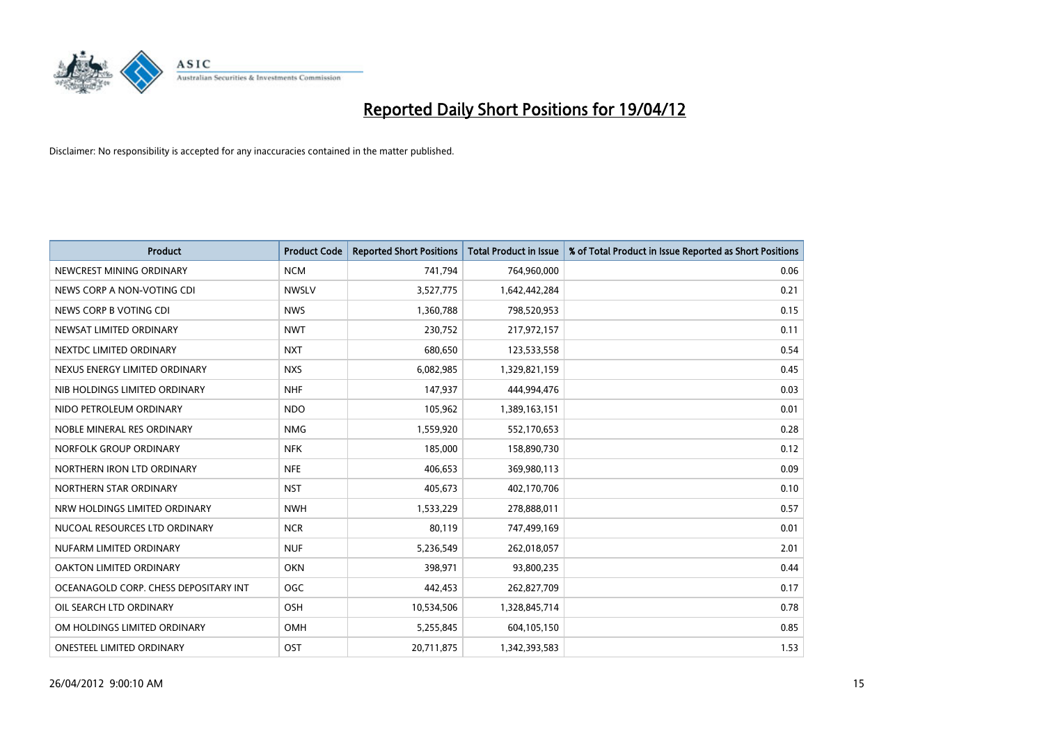

| <b>Product</b>                        | <b>Product Code</b> | <b>Reported Short Positions</b> | <b>Total Product in Issue</b> | % of Total Product in Issue Reported as Short Positions |
|---------------------------------------|---------------------|---------------------------------|-------------------------------|---------------------------------------------------------|
| NEWCREST MINING ORDINARY              | <b>NCM</b>          | 741,794                         | 764,960,000                   | 0.06                                                    |
| NEWS CORP A NON-VOTING CDI            | <b>NWSLV</b>        | 3,527,775                       | 1,642,442,284                 | 0.21                                                    |
| NEWS CORP B VOTING CDI                | <b>NWS</b>          | 1,360,788                       | 798,520,953                   | 0.15                                                    |
| NEWSAT LIMITED ORDINARY               | <b>NWT</b>          | 230,752                         | 217,972,157                   | 0.11                                                    |
| NEXTDC LIMITED ORDINARY               | <b>NXT</b>          | 680,650                         | 123,533,558                   | 0.54                                                    |
| NEXUS ENERGY LIMITED ORDINARY         | <b>NXS</b>          | 6,082,985                       | 1,329,821,159                 | 0.45                                                    |
| NIB HOLDINGS LIMITED ORDINARY         | <b>NHF</b>          | 147,937                         | 444,994,476                   | 0.03                                                    |
| NIDO PETROLEUM ORDINARY               | <b>NDO</b>          | 105,962                         | 1,389,163,151                 | 0.01                                                    |
| NOBLE MINERAL RES ORDINARY            | <b>NMG</b>          | 1,559,920                       | 552,170,653                   | 0.28                                                    |
| NORFOLK GROUP ORDINARY                | <b>NFK</b>          | 185,000                         | 158,890,730                   | 0.12                                                    |
| NORTHERN IRON LTD ORDINARY            | <b>NFE</b>          | 406,653                         | 369,980,113                   | 0.09                                                    |
| NORTHERN STAR ORDINARY                | <b>NST</b>          | 405,673                         | 402,170,706                   | 0.10                                                    |
| NRW HOLDINGS LIMITED ORDINARY         | <b>NWH</b>          | 1,533,229                       | 278,888,011                   | 0.57                                                    |
| NUCOAL RESOURCES LTD ORDINARY         | <b>NCR</b>          | 80,119                          | 747,499,169                   | 0.01                                                    |
| NUFARM LIMITED ORDINARY               | <b>NUF</b>          | 5,236,549                       | 262,018,057                   | 2.01                                                    |
| OAKTON LIMITED ORDINARY               | <b>OKN</b>          | 398,971                         | 93,800,235                    | 0.44                                                    |
| OCEANAGOLD CORP. CHESS DEPOSITARY INT | <b>OGC</b>          | 442,453                         | 262,827,709                   | 0.17                                                    |
| OIL SEARCH LTD ORDINARY               | OSH                 | 10,534,506                      | 1,328,845,714                 | 0.78                                                    |
| OM HOLDINGS LIMITED ORDINARY          | <b>OMH</b>          | 5,255,845                       | 604,105,150                   | 0.85                                                    |
| ONESTEEL LIMITED ORDINARY             | OST                 | 20,711,875                      | 1,342,393,583                 | 1.53                                                    |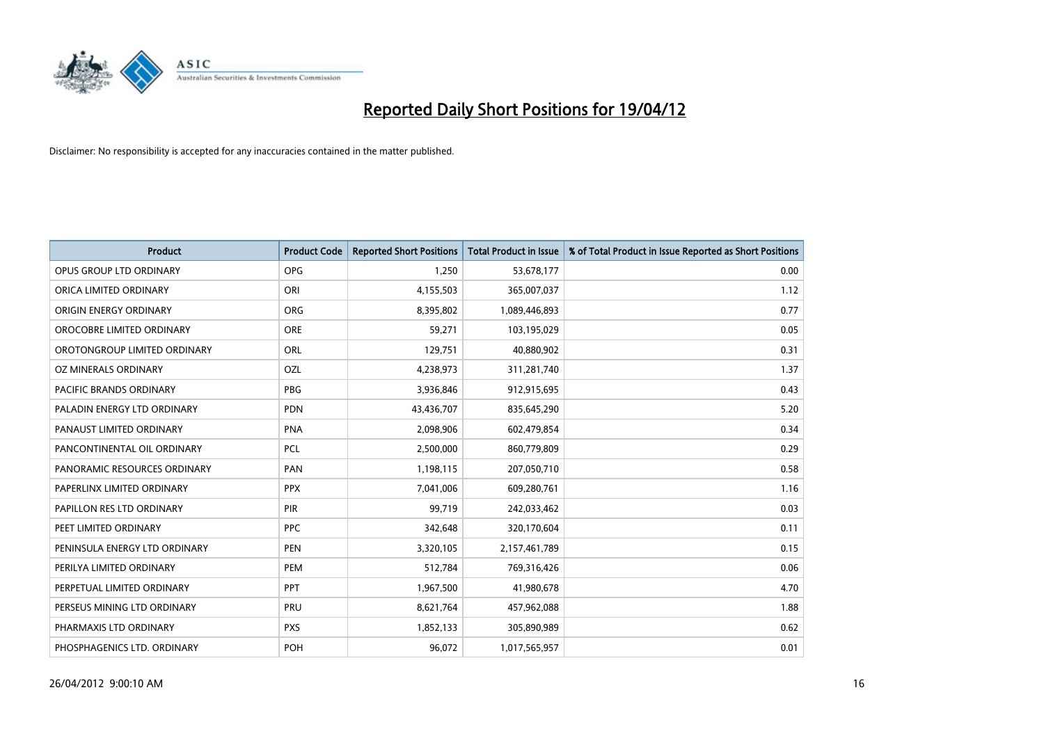

| <b>Product</b>                | <b>Product Code</b> | <b>Reported Short Positions</b> | <b>Total Product in Issue</b> | % of Total Product in Issue Reported as Short Positions |
|-------------------------------|---------------------|---------------------------------|-------------------------------|---------------------------------------------------------|
| OPUS GROUP LTD ORDINARY       | <b>OPG</b>          | 1,250                           | 53,678,177                    | 0.00                                                    |
| ORICA LIMITED ORDINARY        | ORI                 | 4,155,503                       | 365,007,037                   | 1.12                                                    |
| ORIGIN ENERGY ORDINARY        | <b>ORG</b>          | 8,395,802                       | 1,089,446,893                 | 0.77                                                    |
| OROCOBRE LIMITED ORDINARY     | <b>ORE</b>          | 59,271                          | 103,195,029                   | 0.05                                                    |
| OROTONGROUP LIMITED ORDINARY  | ORL                 | 129,751                         | 40,880,902                    | 0.31                                                    |
| OZ MINERALS ORDINARY          | OZL                 | 4,238,973                       | 311,281,740                   | 1.37                                                    |
| PACIFIC BRANDS ORDINARY       | PBG                 | 3,936,846                       | 912,915,695                   | 0.43                                                    |
| PALADIN ENERGY LTD ORDINARY   | PDN                 | 43,436,707                      | 835,645,290                   | 5.20                                                    |
| PANAUST LIMITED ORDINARY      | <b>PNA</b>          | 2,098,906                       | 602,479,854                   | 0.34                                                    |
| PANCONTINENTAL OIL ORDINARY   | <b>PCL</b>          | 2,500,000                       | 860,779,809                   | 0.29                                                    |
| PANORAMIC RESOURCES ORDINARY  | PAN                 | 1,198,115                       | 207,050,710                   | 0.58                                                    |
| PAPERLINX LIMITED ORDINARY    | <b>PPX</b>          | 7,041,006                       | 609,280,761                   | 1.16                                                    |
| PAPILLON RES LTD ORDINARY     | <b>PIR</b>          | 99,719                          | 242,033,462                   | 0.03                                                    |
| PEET LIMITED ORDINARY         | <b>PPC</b>          | 342,648                         | 320,170,604                   | 0.11                                                    |
| PENINSULA ENERGY LTD ORDINARY | <b>PEN</b>          | 3,320,105                       | 2,157,461,789                 | 0.15                                                    |
| PERILYA LIMITED ORDINARY      | PEM                 | 512,784                         | 769,316,426                   | 0.06                                                    |
| PERPETUAL LIMITED ORDINARY    | <b>PPT</b>          | 1,967,500                       | 41,980,678                    | 4.70                                                    |
| PERSEUS MINING LTD ORDINARY   | PRU                 | 8,621,764                       | 457,962,088                   | 1.88                                                    |
| PHARMAXIS LTD ORDINARY        | <b>PXS</b>          | 1,852,133                       | 305,890,989                   | 0.62                                                    |
| PHOSPHAGENICS LTD. ORDINARY   | <b>POH</b>          | 96,072                          | 1,017,565,957                 | 0.01                                                    |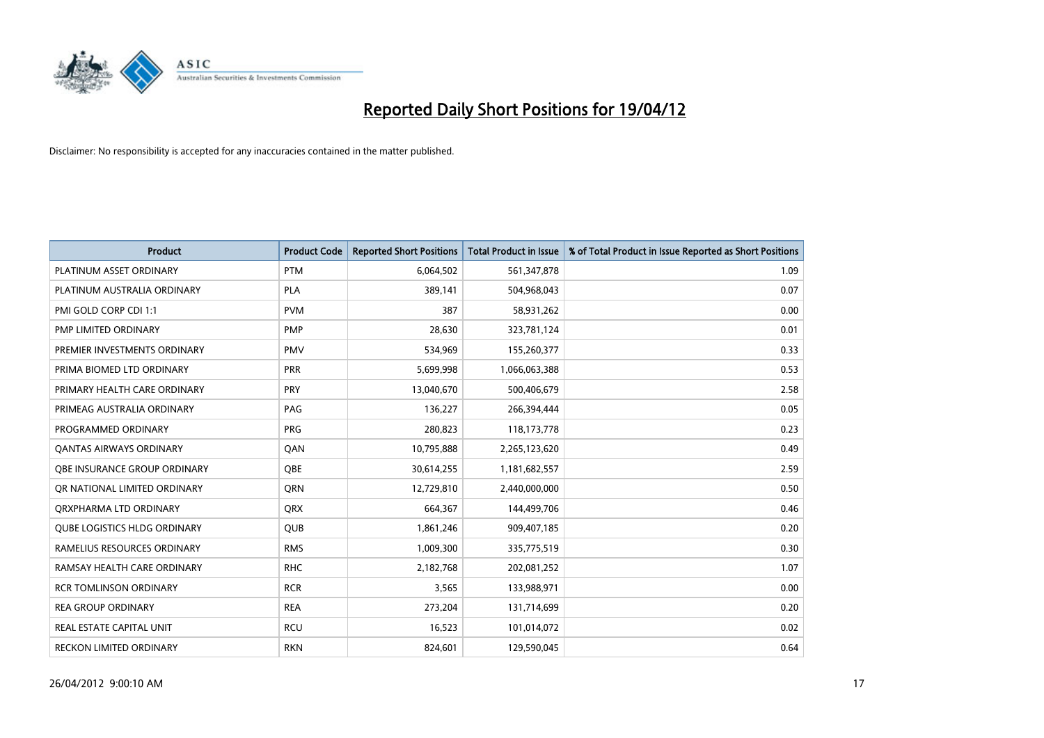

| <b>Product</b>                      | <b>Product Code</b> | <b>Reported Short Positions</b> | <b>Total Product in Issue</b> | % of Total Product in Issue Reported as Short Positions |
|-------------------------------------|---------------------|---------------------------------|-------------------------------|---------------------------------------------------------|
| PLATINUM ASSET ORDINARY             | <b>PTM</b>          | 6,064,502                       | 561,347,878                   | 1.09                                                    |
| PLATINUM AUSTRALIA ORDINARY         | <b>PLA</b>          | 389,141                         | 504,968,043                   | 0.07                                                    |
| PMI GOLD CORP CDI 1:1               | <b>PVM</b>          | 387                             | 58,931,262                    | 0.00                                                    |
| PMP LIMITED ORDINARY                | <b>PMP</b>          | 28,630                          | 323,781,124                   | 0.01                                                    |
| PREMIER INVESTMENTS ORDINARY        | <b>PMV</b>          | 534,969                         | 155,260,377                   | 0.33                                                    |
| PRIMA BIOMED LTD ORDINARY           | PRR                 | 5,699,998                       | 1,066,063,388                 | 0.53                                                    |
| PRIMARY HEALTH CARE ORDINARY        | <b>PRY</b>          | 13,040,670                      | 500,406,679                   | 2.58                                                    |
| PRIMEAG AUSTRALIA ORDINARY          | PAG                 | 136,227                         | 266,394,444                   | 0.05                                                    |
| PROGRAMMED ORDINARY                 | <b>PRG</b>          | 280,823                         | 118,173,778                   | 0.23                                                    |
| <b>QANTAS AIRWAYS ORDINARY</b>      | QAN                 | 10,795,888                      | 2,265,123,620                 | 0.49                                                    |
| OBE INSURANCE GROUP ORDINARY        | <b>OBE</b>          | 30,614,255                      | 1,181,682,557                 | 2.59                                                    |
| OR NATIONAL LIMITED ORDINARY        | QRN                 | 12,729,810                      | 2,440,000,000                 | 0.50                                                    |
| ORXPHARMA LTD ORDINARY              | <b>QRX</b>          | 664,367                         | 144,499,706                   | 0.46                                                    |
| <b>QUBE LOGISTICS HLDG ORDINARY</b> | <b>QUB</b>          | 1,861,246                       | 909,407,185                   | 0.20                                                    |
| RAMELIUS RESOURCES ORDINARY         | <b>RMS</b>          | 1,009,300                       | 335,775,519                   | 0.30                                                    |
| RAMSAY HEALTH CARE ORDINARY         | <b>RHC</b>          | 2,182,768                       | 202,081,252                   | 1.07                                                    |
| <b>RCR TOMLINSON ORDINARY</b>       | <b>RCR</b>          | 3,565                           | 133,988,971                   | 0.00                                                    |
| <b>REA GROUP ORDINARY</b>           | <b>REA</b>          | 273,204                         | 131,714,699                   | 0.20                                                    |
| <b>REAL ESTATE CAPITAL UNIT</b>     | <b>RCU</b>          | 16,523                          | 101,014,072                   | 0.02                                                    |
| RECKON LIMITED ORDINARY             | <b>RKN</b>          | 824,601                         | 129,590,045                   | 0.64                                                    |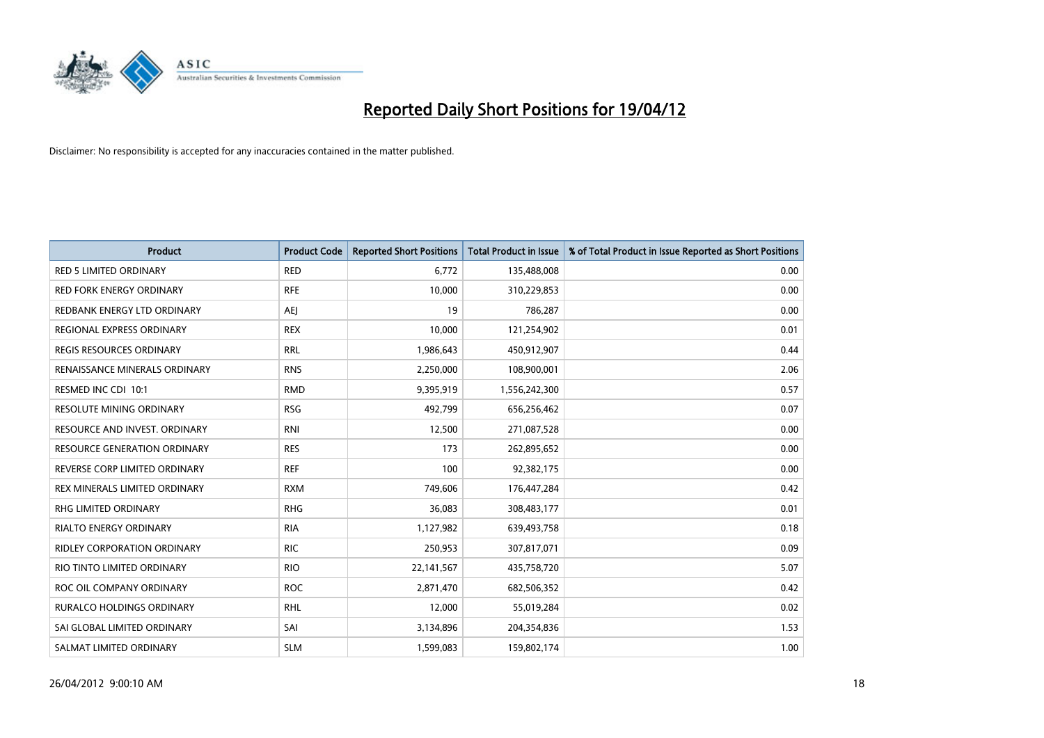

| <b>Product</b>                      | <b>Product Code</b> | <b>Reported Short Positions</b> | <b>Total Product in Issue</b> | % of Total Product in Issue Reported as Short Positions |
|-------------------------------------|---------------------|---------------------------------|-------------------------------|---------------------------------------------------------|
| <b>RED 5 LIMITED ORDINARY</b>       | <b>RED</b>          | 6,772                           | 135,488,008                   | 0.00                                                    |
| <b>RED FORK ENERGY ORDINARY</b>     | <b>RFE</b>          | 10,000                          | 310,229,853                   | 0.00                                                    |
| REDBANK ENERGY LTD ORDINARY         | AEJ                 | 19                              | 786,287                       | 0.00                                                    |
| REGIONAL EXPRESS ORDINARY           | <b>REX</b>          | 10,000                          | 121,254,902                   | 0.01                                                    |
| <b>REGIS RESOURCES ORDINARY</b>     | <b>RRL</b>          | 1,986,643                       | 450,912,907                   | 0.44                                                    |
| RENAISSANCE MINERALS ORDINARY       | <b>RNS</b>          | 2,250,000                       | 108,900,001                   | 2.06                                                    |
| RESMED INC CDI 10:1                 | <b>RMD</b>          | 9,395,919                       | 1,556,242,300                 | 0.57                                                    |
| RESOLUTE MINING ORDINARY            | <b>RSG</b>          | 492,799                         | 656,256,462                   | 0.07                                                    |
| RESOURCE AND INVEST. ORDINARY       | <b>RNI</b>          | 12,500                          | 271,087,528                   | 0.00                                                    |
| <b>RESOURCE GENERATION ORDINARY</b> | <b>RES</b>          | 173                             | 262,895,652                   | 0.00                                                    |
| REVERSE CORP LIMITED ORDINARY       | <b>REF</b>          | 100                             | 92,382,175                    | 0.00                                                    |
| REX MINERALS LIMITED ORDINARY       | <b>RXM</b>          | 749,606                         | 176,447,284                   | 0.42                                                    |
| RHG LIMITED ORDINARY                | <b>RHG</b>          | 36,083                          | 308,483,177                   | 0.01                                                    |
| <b>RIALTO ENERGY ORDINARY</b>       | <b>RIA</b>          | 1,127,982                       | 639,493,758                   | 0.18                                                    |
| <b>RIDLEY CORPORATION ORDINARY</b>  | <b>RIC</b>          | 250,953                         | 307,817,071                   | 0.09                                                    |
| RIO TINTO LIMITED ORDINARY          | <b>RIO</b>          | 22, 141, 567                    | 435,758,720                   | 5.07                                                    |
| ROC OIL COMPANY ORDINARY            | <b>ROC</b>          | 2,871,470                       | 682,506,352                   | 0.42                                                    |
| RURALCO HOLDINGS ORDINARY           | RHL                 | 12,000                          | 55,019,284                    | 0.02                                                    |
| SAI GLOBAL LIMITED ORDINARY         | SAI                 | 3,134,896                       | 204,354,836                   | 1.53                                                    |
| SALMAT LIMITED ORDINARY             | <b>SLM</b>          | 1,599,083                       | 159,802,174                   | 1.00                                                    |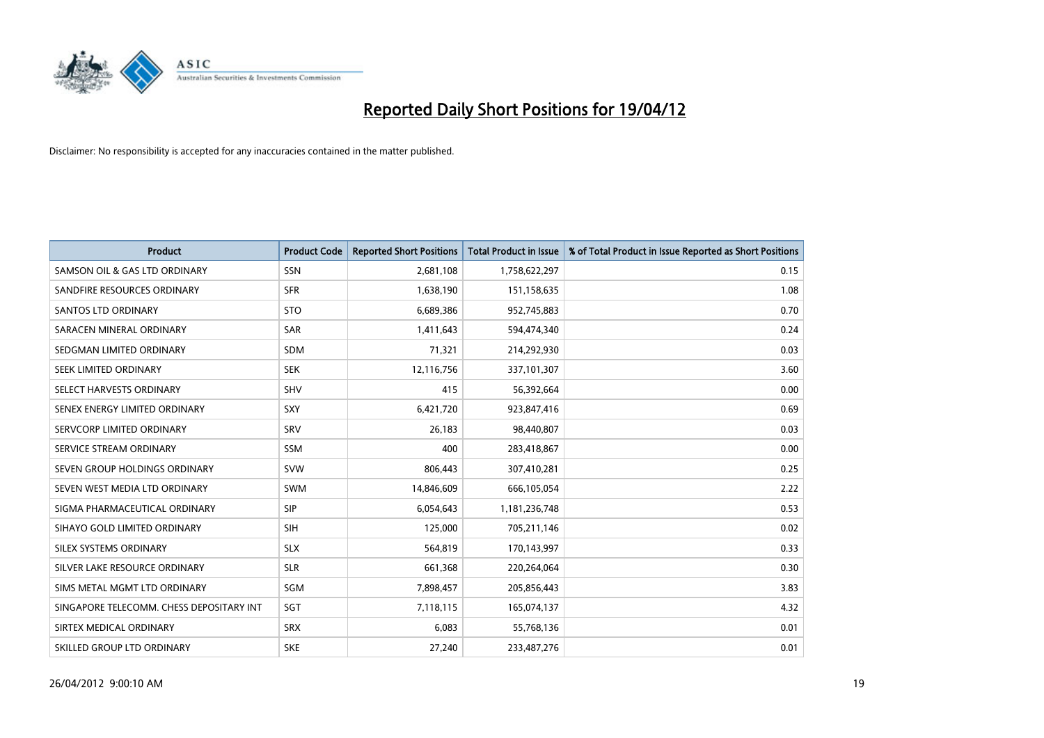

| <b>Product</b>                           | <b>Product Code</b> | <b>Reported Short Positions</b> | <b>Total Product in Issue</b> | % of Total Product in Issue Reported as Short Positions |
|------------------------------------------|---------------------|---------------------------------|-------------------------------|---------------------------------------------------------|
| SAMSON OIL & GAS LTD ORDINARY            | SSN                 | 2,681,108                       | 1,758,622,297                 | 0.15                                                    |
| SANDFIRE RESOURCES ORDINARY              | <b>SFR</b>          | 1,638,190                       | 151,158,635                   | 1.08                                                    |
| <b>SANTOS LTD ORDINARY</b>               | <b>STO</b>          | 6,689,386                       | 952,745,883                   | 0.70                                                    |
| SARACEN MINERAL ORDINARY                 | SAR                 | 1,411,643                       | 594,474,340                   | 0.24                                                    |
| SEDGMAN LIMITED ORDINARY                 | <b>SDM</b>          | 71,321                          | 214,292,930                   | 0.03                                                    |
| SEEK LIMITED ORDINARY                    | <b>SEK</b>          | 12,116,756                      | 337,101,307                   | 3.60                                                    |
| SELECT HARVESTS ORDINARY                 | SHV                 | 415                             | 56,392,664                    | 0.00                                                    |
| SENEX ENERGY LIMITED ORDINARY            | <b>SXY</b>          | 6,421,720                       | 923,847,416                   | 0.69                                                    |
| SERVCORP LIMITED ORDINARY                | SRV                 | 26,183                          | 98,440,807                    | 0.03                                                    |
| SERVICE STREAM ORDINARY                  | <b>SSM</b>          | 400                             | 283,418,867                   | 0.00                                                    |
| SEVEN GROUP HOLDINGS ORDINARY            | <b>SVW</b>          | 806,443                         | 307,410,281                   | 0.25                                                    |
| SEVEN WEST MEDIA LTD ORDINARY            | <b>SWM</b>          | 14,846,609                      | 666,105,054                   | 2.22                                                    |
| SIGMA PHARMACEUTICAL ORDINARY            | <b>SIP</b>          | 6,054,643                       | 1,181,236,748                 | 0.53                                                    |
| SIHAYO GOLD LIMITED ORDINARY             | SIH                 | 125,000                         | 705,211,146                   | 0.02                                                    |
| SILEX SYSTEMS ORDINARY                   | <b>SLX</b>          | 564,819                         | 170,143,997                   | 0.33                                                    |
| SILVER LAKE RESOURCE ORDINARY            | <b>SLR</b>          | 661,368                         | 220,264,064                   | 0.30                                                    |
| SIMS METAL MGMT LTD ORDINARY             | SGM                 | 7,898,457                       | 205,856,443                   | 3.83                                                    |
| SINGAPORE TELECOMM. CHESS DEPOSITARY INT | SGT                 | 7,118,115                       | 165,074,137                   | 4.32                                                    |
| SIRTEX MEDICAL ORDINARY                  | <b>SRX</b>          | 6,083                           | 55,768,136                    | 0.01                                                    |
| SKILLED GROUP LTD ORDINARY               | <b>SKE</b>          | 27,240                          | 233,487,276                   | 0.01                                                    |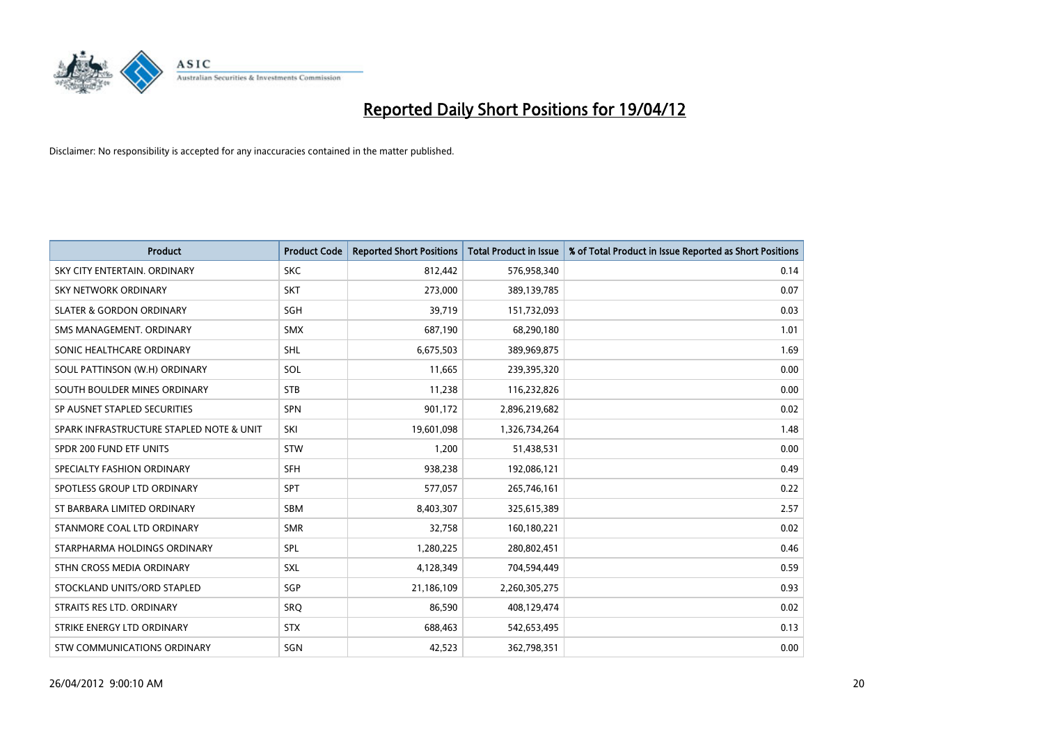

| <b>Product</b>                           | <b>Product Code</b> | <b>Reported Short Positions</b> | <b>Total Product in Issue</b> | % of Total Product in Issue Reported as Short Positions |
|------------------------------------------|---------------------|---------------------------------|-------------------------------|---------------------------------------------------------|
| SKY CITY ENTERTAIN, ORDINARY             | <b>SKC</b>          | 812,442                         | 576,958,340                   | 0.14                                                    |
| SKY NETWORK ORDINARY                     | <b>SKT</b>          | 273,000                         | 389,139,785                   | 0.07                                                    |
| <b>SLATER &amp; GORDON ORDINARY</b>      | SGH                 | 39,719                          | 151,732,093                   | 0.03                                                    |
| SMS MANAGEMENT, ORDINARY                 | <b>SMX</b>          | 687,190                         | 68,290,180                    | 1.01                                                    |
| SONIC HEALTHCARE ORDINARY                | <b>SHL</b>          | 6,675,503                       | 389,969,875                   | 1.69                                                    |
| SOUL PATTINSON (W.H) ORDINARY            | SOL                 | 11,665                          | 239,395,320                   | 0.00                                                    |
| SOUTH BOULDER MINES ORDINARY             | <b>STB</b>          | 11,238                          | 116,232,826                   | 0.00                                                    |
| SP AUSNET STAPLED SECURITIES             | <b>SPN</b>          | 901,172                         | 2,896,219,682                 | 0.02                                                    |
| SPARK INFRASTRUCTURE STAPLED NOTE & UNIT | SKI                 | 19,601,098                      | 1,326,734,264                 | 1.48                                                    |
| SPDR 200 FUND ETF UNITS                  | <b>STW</b>          | 1,200                           | 51,438,531                    | 0.00                                                    |
| SPECIALTY FASHION ORDINARY               | <b>SFH</b>          | 938,238                         | 192,086,121                   | 0.49                                                    |
| SPOTLESS GROUP LTD ORDINARY              | <b>SPT</b>          | 577,057                         | 265,746,161                   | 0.22                                                    |
| ST BARBARA LIMITED ORDINARY              | <b>SBM</b>          | 8,403,307                       | 325,615,389                   | 2.57                                                    |
| STANMORE COAL LTD ORDINARY               | <b>SMR</b>          | 32,758                          | 160,180,221                   | 0.02                                                    |
| STARPHARMA HOLDINGS ORDINARY             | <b>SPL</b>          | 1,280,225                       | 280,802,451                   | 0.46                                                    |
| STHN CROSS MEDIA ORDINARY                | <b>SXL</b>          | 4,128,349                       | 704,594,449                   | 0.59                                                    |
| STOCKLAND UNITS/ORD STAPLED              | SGP                 | 21,186,109                      | 2,260,305,275                 | 0.93                                                    |
| STRAITS RES LTD. ORDINARY                | <b>SRO</b>          | 86,590                          | 408,129,474                   | 0.02                                                    |
| STRIKE ENERGY LTD ORDINARY               | <b>STX</b>          | 688,463                         | 542,653,495                   | 0.13                                                    |
| STW COMMUNICATIONS ORDINARY              | SGN                 | 42,523                          | 362,798,351                   | 0.00                                                    |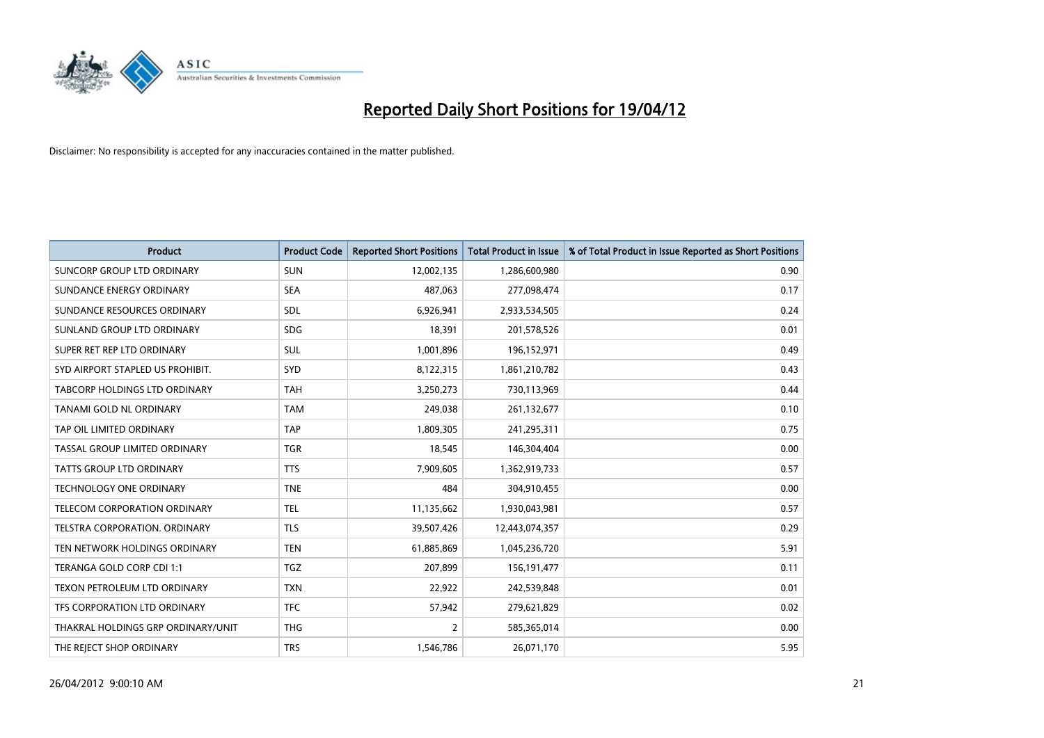

| <b>Product</b>                       | <b>Product Code</b> | <b>Reported Short Positions</b> | <b>Total Product in Issue</b> | % of Total Product in Issue Reported as Short Positions |
|--------------------------------------|---------------------|---------------------------------|-------------------------------|---------------------------------------------------------|
| <b>SUNCORP GROUP LTD ORDINARY</b>    | <b>SUN</b>          | 12,002,135                      | 1,286,600,980                 | 0.90                                                    |
| SUNDANCE ENERGY ORDINARY             | <b>SEA</b>          | 487,063                         | 277,098,474                   | 0.17                                                    |
| SUNDANCE RESOURCES ORDINARY          | <b>SDL</b>          | 6,926,941                       | 2,933,534,505                 | 0.24                                                    |
| SUNLAND GROUP LTD ORDINARY           | <b>SDG</b>          | 18,391                          | 201,578,526                   | 0.01                                                    |
| SUPER RET REP LTD ORDINARY           | SUL                 | 1,001,896                       | 196,152,971                   | 0.49                                                    |
| SYD AIRPORT STAPLED US PROHIBIT.     | <b>SYD</b>          | 8,122,315                       | 1,861,210,782                 | 0.43                                                    |
| TABCORP HOLDINGS LTD ORDINARY        | <b>TAH</b>          | 3,250,273                       | 730,113,969                   | 0.44                                                    |
| TANAMI GOLD NL ORDINARY              | <b>TAM</b>          | 249,038                         | 261,132,677                   | 0.10                                                    |
| TAP OIL LIMITED ORDINARY             | <b>TAP</b>          | 1,809,305                       | 241,295,311                   | 0.75                                                    |
| TASSAL GROUP LIMITED ORDINARY        | <b>TGR</b>          | 18,545                          | 146,304,404                   | 0.00                                                    |
| TATTS GROUP LTD ORDINARY             | <b>TTS</b>          | 7,909,605                       | 1,362,919,733                 | 0.57                                                    |
| <b>TECHNOLOGY ONE ORDINARY</b>       | <b>TNE</b>          | 484                             | 304,910,455                   | 0.00                                                    |
| TELECOM CORPORATION ORDINARY         | <b>TEL</b>          | 11,135,662                      | 1,930,043,981                 | 0.57                                                    |
| <b>TELSTRA CORPORATION, ORDINARY</b> | <b>TLS</b>          | 39,507,426                      | 12,443,074,357                | 0.29                                                    |
| TEN NETWORK HOLDINGS ORDINARY        | <b>TEN</b>          | 61,885,869                      | 1,045,236,720                 | 5.91                                                    |
| TERANGA GOLD CORP CDI 1:1            | <b>TGZ</b>          | 207,899                         | 156, 191, 477                 | 0.11                                                    |
| TEXON PETROLEUM LTD ORDINARY         | <b>TXN</b>          | 22,922                          | 242,539,848                   | 0.01                                                    |
| TFS CORPORATION LTD ORDINARY         | <b>TFC</b>          | 57,942                          | 279,621,829                   | 0.02                                                    |
| THAKRAL HOLDINGS GRP ORDINARY/UNIT   | <b>THG</b>          | $\overline{2}$                  | 585,365,014                   | 0.00                                                    |
| THE REJECT SHOP ORDINARY             | <b>TRS</b>          | 1,546,786                       | 26,071,170                    | 5.95                                                    |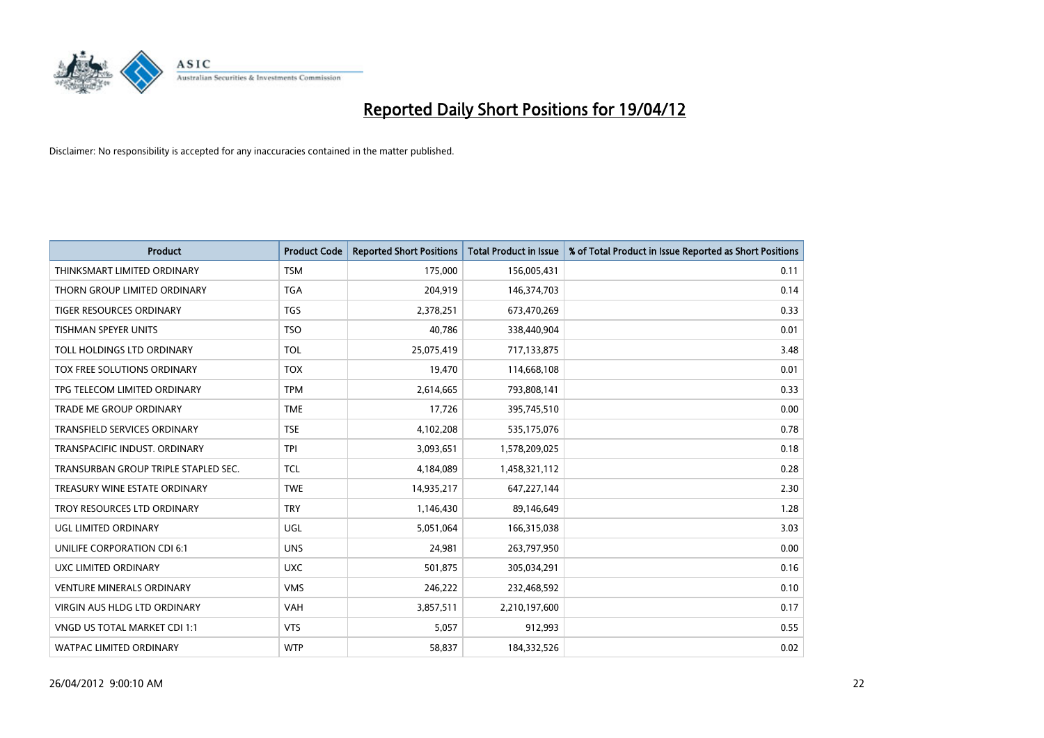

| <b>Product</b>                       | <b>Product Code</b> | <b>Reported Short Positions</b> | <b>Total Product in Issue</b> | % of Total Product in Issue Reported as Short Positions |
|--------------------------------------|---------------------|---------------------------------|-------------------------------|---------------------------------------------------------|
| THINKSMART LIMITED ORDINARY          | <b>TSM</b>          | 175,000                         | 156,005,431                   | 0.11                                                    |
| THORN GROUP LIMITED ORDINARY         | <b>TGA</b>          | 204,919                         | 146,374,703                   | 0.14                                                    |
| TIGER RESOURCES ORDINARY             | <b>TGS</b>          | 2,378,251                       | 673,470,269                   | 0.33                                                    |
| TISHMAN SPEYER UNITS                 | <b>TSO</b>          | 40,786                          | 338,440,904                   | 0.01                                                    |
| TOLL HOLDINGS LTD ORDINARY           | <b>TOL</b>          | 25,075,419                      | 717,133,875                   | 3.48                                                    |
| TOX FREE SOLUTIONS ORDINARY          | <b>TOX</b>          | 19,470                          | 114,668,108                   | 0.01                                                    |
| TPG TELECOM LIMITED ORDINARY         | <b>TPM</b>          | 2,614,665                       | 793,808,141                   | 0.33                                                    |
| TRADE ME GROUP ORDINARY              | <b>TME</b>          | 17,726                          | 395,745,510                   | 0.00                                                    |
| <b>TRANSFIELD SERVICES ORDINARY</b>  | <b>TSE</b>          | 4,102,208                       | 535,175,076                   | 0.78                                                    |
| TRANSPACIFIC INDUST, ORDINARY        | <b>TPI</b>          | 3,093,651                       | 1,578,209,025                 | 0.18                                                    |
| TRANSURBAN GROUP TRIPLE STAPLED SEC. | TCL                 | 4,184,089                       | 1,458,321,112                 | 0.28                                                    |
| TREASURY WINE ESTATE ORDINARY        | <b>TWE</b>          | 14,935,217                      | 647,227,144                   | 2.30                                                    |
| TROY RESOURCES LTD ORDINARY          | <b>TRY</b>          | 1,146,430                       | 89,146,649                    | 1.28                                                    |
| UGL LIMITED ORDINARY                 | UGL                 | 5,051,064                       | 166,315,038                   | 3.03                                                    |
| UNILIFE CORPORATION CDI 6:1          | <b>UNS</b>          | 24.981                          | 263,797,950                   | 0.00                                                    |
| UXC LIMITED ORDINARY                 | <b>UXC</b>          | 501,875                         | 305,034,291                   | 0.16                                                    |
| <b>VENTURE MINERALS ORDINARY</b>     | <b>VMS</b>          | 246,222                         | 232,468,592                   | 0.10                                                    |
| VIRGIN AUS HLDG LTD ORDINARY         | <b>VAH</b>          | 3,857,511                       | 2,210,197,600                 | 0.17                                                    |
| VNGD US TOTAL MARKET CDI 1:1         | <b>VTS</b>          | 5,057                           | 912,993                       | 0.55                                                    |
| WATPAC LIMITED ORDINARY              | <b>WTP</b>          | 58,837                          | 184,332,526                   | 0.02                                                    |